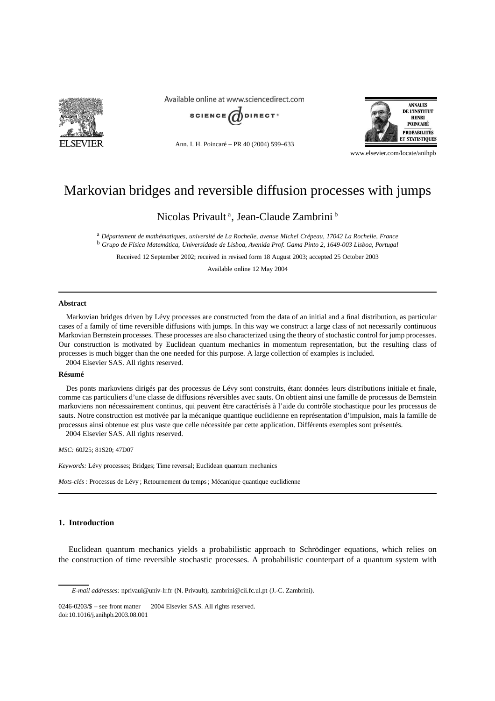

Available online at www.sciencedirect.com



Ann. I. H. Poincaré – PR 40 (2004) 599–633



www.elsevier.com/locate/anihpb

# Markovian bridges and reversible diffusion processes with jumps

Nicolas Privault<sup>a</sup>, Jean-Claude Zambrini<sup>b</sup>

<sup>a</sup> *Département de mathématiques, université de La Rochelle, avenue Michel Crépeau, 17042 La Rochelle, France* <sup>b</sup> *Grupo de Física Matemática, Universidade de Lisboa, Avenida Prof. Gama Pinto 2, 1649-003 Lisboa, Portugal*

Received 12 September 2002; received in revised form 18 August 2003; accepted 25 October 2003

Available online 12 May 2004

### **Abstract**

Markovian bridges driven by Lévy processes are constructed from the data of an initial and a final distribution, as particular cases of a family of time reversible diffusions with jumps. In this way we construct a large class of not necessarily continuous Markovian Bernstein processes. These processes are also characterized using the theory of stochastic control for jump processes. Our construction is motivated by Euclidean quantum mechanics in momentum representation, but the resulting class of processes is much bigger than the one needed for this purpose. A large collection of examples is included. 2004 Elsevier SAS. All rights reserved.

#### **Résumé**

Des ponts markoviens dirigés par des processus de Lévy sont construits, étant données leurs distributions initiale et finale, comme cas particuliers d'une classe de diffusions réversibles avec sauts. On obtient ainsi une famille de processus de Bernstein markoviens non nécessairement continus, qui peuvent être caractérisés à l'aide du contrôle stochastique pour les processus de sauts. Notre construction est motivée par la mécanique quantique euclidienne en représentation d'impulsion, mais la famille de processus ainsi obtenue est plus vaste que celle nécessitée par cette application. Différents exemples sont présentés. 2004 Elsevier SAS. All rights reserved.

*MSC:* 60J25; 81S20; 47D07

*Keywords:* Lévy processes; Bridges; Time reversal; Euclidean quantum mechanics

*Mots-clés :* Processus de Lévy ; Retournement du temps ; Mécanique quantique euclidienne

# **1. Introduction**

Euclidean quantum mechanics yields a probabilistic approach to Schrödinger equations, which relies on the construction of time reversible stochastic processes. A probabilistic counterpart of a quantum system with

*E-mail addresses:* nprivaul@univ-lr.fr (N. Privault), zambrini@cii.fc.ul.pt (J.-C. Zambrini).

 $0246-0203/\$$  – see front matter  $\odot$  2004 Elsevier SAS. All rights reserved. doi:10.1016/j.anihpb.2003.08.001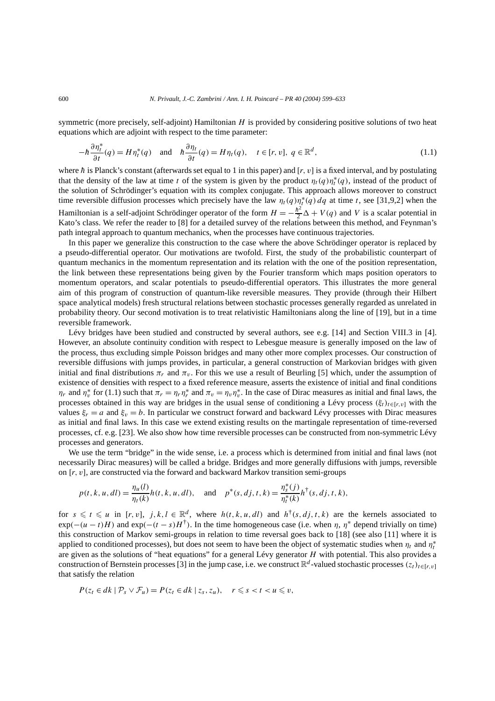symmetric (more precisely, self-adjoint) Hamiltonian *H* is provided by considering positive solutions of two heat equations which are adjoint with respect to the time parameter:

$$
-\hbar \frac{\partial \eta_t^*}{\partial t}(q) = H \eta_t^*(q) \quad \text{and} \quad \hbar \frac{\partial \eta_t}{\partial t}(q) = H \eta_t(q), \quad t \in [r, v], \ q \in \mathbb{R}^d,
$$
\n(1.1)

where  $\hbar$  is Planck's constant (afterwards set equal to 1 in this paper) and  $[r, v]$  is a fixed interval, and by postulating that the density of the law at time *t* of the system is given by the product  $\eta_t(q)\eta_t^*(q)$ , instead of the product of the solution of Schrödinger's equation with its complex conjugate. This approach allows moreover to construct time reversible diffusion processes which precisely have the law  $\eta_t(q)\eta_t^*(q) dq$  at time *t*, see [31,9,2] when the Hamiltonian is a self-adjoint Schrödinger operator of the form  $H = -\frac{\hbar^2}{2}\Delta + V(q)$  and *V* is a scalar potential in Kato's class. We refer the reader to [8] for a detailed survey of the relations between this method, and Feynman's path integral approach to quantum mechanics, when the processes have continuous trajectories.

In this paper we generalize this construction to the case where the above Schrödinger operator is replaced by a pseudo-differential operator. Our motivations are twofold. First, the study of the probabilistic counterpart of quantum mechanics in the momentum representation and its relation with the one of the position representation, the link between these representations being given by the Fourier transform which maps position operators to momentum operators, and scalar potentials to pseudo-differential operators. This illustrates the more general aim of this program of construction of quantum-like reversible measures. They provide (through their Hilbert space analytical models) fresh structural relations between stochastic processes generally regarded as unrelated in probability theory. Our second motivation is to treat relativistic Hamiltonians along the line of [19], but in a time reversible framework.

Lévy bridges have been studied and constructed by several authors, see e.g. [14] and Section VIII.3 in [4]. However, an absolute continuity condition with respect to Lebesgue measure is generally imposed on the law of the process, thus excluding simple Poisson bridges and many other more complex processes. Our construction of reversible diffusions with jumps provides, in particular, a general construction of Markovian bridges with given initial and final distributions  $\pi_r$  and  $\pi_v$ . For this we use a result of Beurling [5] which, under the assumption of existence of densities with respect to a fixed reference measure, asserts the existence of initial and final conditions *η<sub>r</sub>* and  $\eta_v^*$  for (1.1) such that  $\pi_r = \eta_r \eta_r^*$  and  $\pi_v = \eta_v \eta_v^*$ . In the case of Dirac measures as initial and final laws, the processes obtained in this way are bridges in the usual sense of conditioning a Lévy process  $(\xi_t)_{t \in [r, v]}$  with the values  $\xi_r = a$  and  $\xi_v = b$ . In particular we construct forward and backward Lévy processes with Dirac measures as initial and final laws. In this case we extend existing results on the martingale representation of time-reversed processes, cf. e.g. [23]. We also show how time reversible processes can be constructed from non-symmetric Lévy processes and generators.

We use the term "bridge" in the wide sense, i.e. a process which is determined from initial and final laws (not necessarily Dirac measures) will be called a bridge. Bridges and more generally diffusions with jumps, reversible on [*r, v*], are constructed via the forward and backward Markov transition semi-groups

$$
p(t, k, u, dl) = \frac{\eta_u(l)}{\eta_t(k)} h(t, k, u, dl), \text{ and } p^*(s, dj, t, k) = \frac{\eta_s^*(j)}{\eta_t^*(k)} h^{\dagger}(s, dj, t, k),
$$

for  $s \le t \le u$  in  $[r, v]$ ,  $j, k, l \in \mathbb{R}^d$ , where  $h(t, k, u, dl)$  and  $h^{\dagger}(s, dj, t, k)$  are the kernels associated to  $\exp(-(u-t)H)$  and  $\exp(-(t-s)H^{\dagger})$ . In the time homogeneous case (i.e. when  $\eta$ ,  $\eta^*$  depend trivially on time) this construction of Markov semi-groups in relation to time reversal goes back to [18] (see also [11] where it is applied to conditioned processes), but does not seem to have been the object of systematic studies when  $\eta_t$  and  $\eta_t^*$ are given as the solutions of "heat equations" for a general Lévy generator *H* with potential. This also provides a construction of Bernstein processes [3] in the jump case, i.e. we construct  $\mathbb{R}^d$ -valued stochastic processes  $(z_t)_{t\in [r, v]}$ that satisfy the relation

$$
P(z_t \in dk \mid \mathcal{P}_s \vee \mathcal{F}_u) = P(z_t \in dk \mid z_s, z_u), \quad r \leq s < t < u \leq v,
$$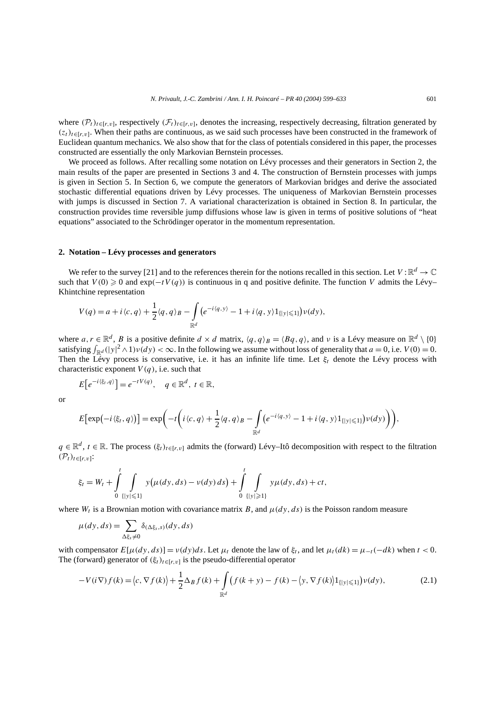where  $(\mathcal{P}_t)_{t \in [r, v]}$ , respectively  $(\mathcal{F}_t)_{t \in [r, v]}$ , denotes the increasing, respectively decreasing, filtration generated by  $(z_t)_{t \in [r, v]}$ . When their paths are continuous, as we said such processes have been constructed in the framework of Euclidean quantum mechanics. We also show that for the class of potentials considered in this paper, the processes constructed are essentially the only Markovian Bernstein processes.

We proceed as follows. After recalling some notation on Lévy processes and their generators in Section 2, the main results of the paper are presented in Sections 3 and 4. The construction of Bernstein processes with jumps is given in Section 5. In Section 6, we compute the generators of Markovian bridges and derive the associated stochastic differential equations driven by Lévy processes. The uniqueness of Markovian Bernstein processes with jumps is discussed in Section 7. A variational characterization is obtained in Section 8. In particular, the construction provides time reversible jump diffusions whose law is given in terms of positive solutions of "heat equations" associated to the Schrödinger operator in the momentum representation.

#### **2. Notation – Lévy processes and generators**

We refer to the survey [21] and to the references therein for the notions recalled in this section. Let  $V : \mathbb{R}^d \to \mathbb{C}$ such that  $V(0) \ge 0$  and  $exp(-tV(q))$  is continuous in q and positive definite. The function *V* admits the Lévy– Khintchine representation

$$
V(q) = a + i \langle c, q \rangle + \frac{1}{2} \langle q, q \rangle_B - \int_{\mathbb{R}^d} \left( e^{-i \langle q, y \rangle} - 1 + i \langle q, y \rangle \mathbb{1}_{\{|y| \leq 1\}} \right) \nu(dy),
$$

where  $a, r \in \mathbb{R}^d$ , *B* is a positive definite  $d \times d$  matrix,  $\langle q, q \rangle_B = \langle Bq, q \rangle$ , and  $\nu$  is a Lévy measure on  $\mathbb{R}^d \setminus \{0\}$ satisfying  $\int_{\mathbb{R}^d} (|y|^2 \wedge 1) \nu(dy) < \infty$ . In the following we assume without loss of generality that  $a = 0$ , i.e.  $V(0) = 0$ . Then the Lévy process is conservative, i.e. it has an infinite life time. Let *ξt* denote the Lévy process with characteristic exponent  $V(q)$ , i.e. such that

$$
E\big[e^{-i\langle \xi_t, q \rangle}\big] = e^{-tV(q)}, \quad q \in \mathbb{R}^d, \ t \in \mathbb{R},
$$

or

$$
E\big[\exp\big(-i\langle \xi_t, q \rangle\big)\big] = \exp\bigg(-t\bigg(i\langle c, q \rangle + \frac{1}{2}\langle q, q \rangle_B - \int\limits_{\mathbb{R}^d} \big(e^{-i\langle q, y \rangle} - 1 + i\langle q, y \rangle 1_{\{|y| \leq 1\}}\big)\nu(dy)\bigg)\bigg),
$$

*q* ∈  $\mathbb{R}^d$ , *t* ∈  $\mathbb{R}$ . The process  $(\xi_t)_{t \in [r, v]}$  admits the (forward) Lévy–Itô decomposition with respect to the filtration  $(\mathcal{P}_t)_{t\in[r,v]}$ :

$$
\xi_t = W_t + \int\limits_0^t \int\limits_{\{|y| \leq 1\}} y(\mu(dy, ds) - \nu(dy) ds) + \int\limits_0^t \int\limits_{\{|y| \geq 1\}} y\mu(dy, ds) + ct,
$$

where  $W_t$  is a Brownian motion with covariance matrix *B*, and  $\mu(dy, ds)$  is the Poisson random measure

$$
\mu(dy, ds) = \sum_{\Delta\xi_s \neq 0} \delta_{(\Delta\xi_s, s)}(dy, ds)
$$

with compensator  $E[\mu(dy, ds)] = v(dy)ds$ . Let  $\mu_t$  denote the law of  $\xi_t$ , and let  $\mu_t(dk) = \mu_{-t}(-dk)$  when  $t < 0$ . The (forward) generator of  $(\xi_t)_{t \in [r, v]}$  is the pseudo-differential operator

$$
-V(i\nabla)f(k) = \langle c, \nabla f(k) \rangle + \frac{1}{2}\Delta_B f(k) + \int_{\mathbb{R}^d} \left( f(k+y) - f(k) - \langle y, \nabla f(k) \rangle \mathbf{1}_{\{|y| \le 1\}} \right) \nu(dy), \tag{2.1}
$$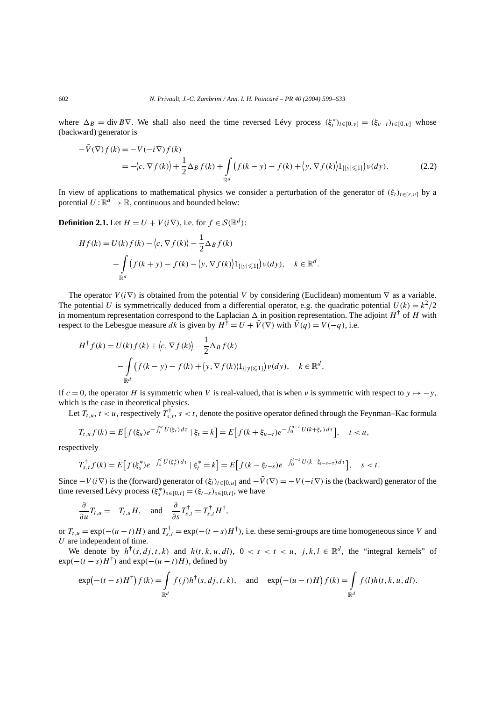where  $\Delta_B = \text{div } B \nabla$ . We shall also need the time reversed Lévy process  $(\xi_t^*)_{t \in [0, v]} = (\xi_{v-t})_{t \in [0, v]}$  whose (backward) generator is

$$
-\bar{V}(\nabla)f(k) = -V(-i\nabla)f(k)
$$
  
= 
$$
-\langle c, \nabla f(k)\rangle + \frac{1}{2}\Delta_B f(k) + \int_{\mathbb{R}^d} (f(k-y) - f(k) + \langle y, \nabla f(k)\rangle 1_{\{|y|\leq 1\}}) \nu(dy).
$$
 (2.2)

In view of applications to mathematical physics we consider a perturbation of the generator of  $(\xi_t)_{t \in [r, v]}$  by a potential  $U: \mathbb{R}^d \to \mathbb{R}$ , continuous and bounded below:

**Definition 2.1.** Let  $H = U + V(i\nabla)$ , i.e. for  $f \in \mathcal{S}(\mathbb{R}^d)$ :

$$
Hf(k) = U(k)f(k) - \langle c, \nabla f(k) \rangle - \frac{1}{2} \Delta_B f(k)
$$
  
-
$$
\int_{\mathbb{R}^d} (f(k+y) - f(k) - \langle y, \nabla f(k) \rangle 1_{\{|y| \le 1\}}) v(dy), \quad k \in \mathbb{R}^d.
$$

The operator  $V(i\nabla)$  is obtained from the potential V by considering (Euclidean) momentum  $\nabla$  as a variable. The potential *U* is symmetrically deduced from a differential operator, e.g. the quadratic potential  $U(k) = k^2/2$ in momentum representation correspond to the Laplacian  $\Delta$  in position representation. The adjoint  $H^{\dagger}$  of *H* with respect to the Lebesgue measure *dk* is given by  $H^{\dagger} = U + \bar{V}(\nabla)$  with  $\bar{V}(q) = V(-q)$ , i.e.

$$
H^{\dagger} f(k) = U(k) f(k) + \langle c, \nabla f(k) \rangle - \frac{1}{2} \Delta_B f(k)
$$
  
- 
$$
\int_{\mathbb{R}^d} (f(k - y) - f(k) + \langle y, \nabla f(k) \rangle |1_{\{|y| \le 1\}}) v(dy), \quad k \in \mathbb{R}^d.
$$

If  $c = 0$ , the operator *H* is symmetric when *V* is real-valued, that is when *v* is symmetric with respect to  $y \mapsto -y$ , which is the case in theoretical physics.

Let  $T_{t,u}$ ,  $t < u$ , respectively  $T_{s,t}^{\dagger}$ ,  $s < t$ , denote the positive operator defined through the Feynman–Kac formula

$$
T_{t,u}f(k) = E[f(\xi_u)e^{-\int_t^u U(\xi_\tau)d\tau} | \xi_t = k] = E[f(k + \xi_{u-t})e^{-\int_0^{u-t} U(k + \xi_\tau)d\tau}], \quad t < u,
$$

respectively

$$
T_{s,t}^{\dagger}f(k) = E\Big[f(\xi_s^*)e^{-\int_s^t U(\xi_t^*)\,d\tau} \mid \xi_t^* = k\Big] = E\Big[f(k-\xi_{t-s})e^{-\int_0^{t-s} U(k-\xi_{t-s-t})\,d\tau}\Big], \quad s < t.
$$

Since  $-V(i\nabla)$  is the (forward) generator of  $(\xi_t)_{t\in[0,u]}$  and  $-\overline{V}(\nabla) = -V(-i\nabla)$  is the (backward) generator of the time reversed Lévy process  $(\xi_s^*)_{s \in [0,t]} = (\xi_{t-s})_{s \in [0,t]}$ , we have

$$
\frac{\partial}{\partial u}T_{t,u} = -T_{t,u}H, \text{ and } \frac{\partial}{\partial s}T_{s,t}^{\dagger} = T_{s,t}^{\dagger}H^{\dagger},
$$

or  $T_{t,u} = \exp(-(u-t)H)$  and  $T_{s,t}^{\dagger} = \exp(-(t-s)H^{\dagger})$ , i.e. these semi-groups are time homogeneous since *V* and *U* are independent of time.

We denote by  $h^{\dagger}(s, dj, t, k)$  and  $h(t, k, u, dl)$ ,  $0 < s < t < u$ ,  $j, k, l \in \mathbb{R}^d$ , the "integral kernels" of  $\exp(-(t-s)H^{\dagger})$  and  $\exp(-(u-t)H)$ , defined by

$$
\exp(-(t-s)H^{\dagger})f(k) = \int_{\mathbb{R}^d} f(j)h^{\dagger}(s, dj, t, k), \text{ and } \exp(-(u-t)H)f(k) = \int_{\mathbb{R}^d} f(l)h(t, k, u, dl).
$$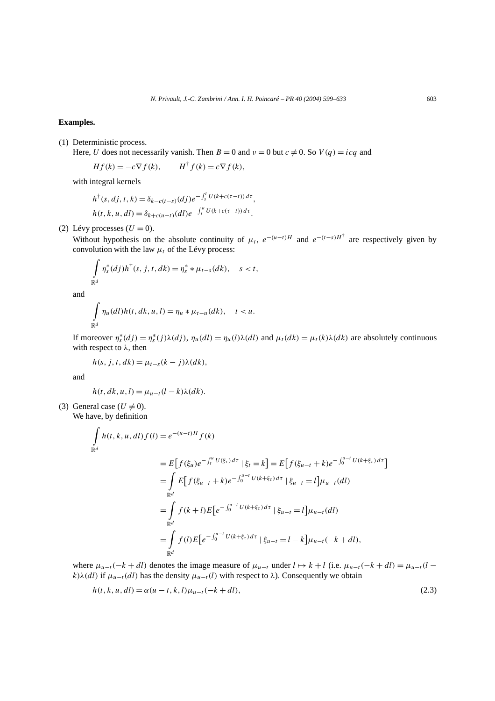## **Examples.**

#### (1) Deterministic process.

Here, *U* does not necessarily vanish. Then  $B = 0$  and  $v = 0$  but  $c \neq 0$ . So  $V(q) = icq$  and

$$
Hf(k) = -c\nabla f(k), \qquad H^{\dagger} f(k) = c\nabla f(k),
$$

with integral kernels

$$
h^{\dagger}(s, dj, t, k) = \delta_{k-c(t-s)}(dj)e^{-\int_s^t U(k+c(\tau-t))dt},
$$
  
\n
$$
h(t, k, u, dl) = \delta_{k+c(u-t)}(dl)e^{-\int_t^u U(k+c(\tau-t))d\tau}.
$$

(2) Lévy processes  $(U = 0)$ .

Without hypothesis on the absolute continuity of  $\mu_t$ ,  $e^{-(u-t)H}$  and  $e^{-(t-s)H^{\dagger}}$  are respectively given by convolution with the law  $\mu_t$  of the Lévy process:

$$
\int_{\mathbb{R}^d} \eta_s^*(dj)h^{\dagger}(s, j, t, dk) = \eta_s^* * \mu_{t-s}(dk), \quad s < t,
$$

and

$$
\int_{\mathbb{R}^d} \eta_u(dl)h(t,dk,u,l) = \eta_u * \mu_{t-u}(dk), \quad t < u.
$$

If moreover  $\eta_s^*(dj) = \eta_s^*(j)\lambda(dy)$ ,  $\eta_u(dl) = \eta_u(l)\lambda(dl)$  and  $\mu_t(dk) = \mu_t(k)\lambda(dk)$  are absolutely continuous with respect to *λ*, then

$$
h(s, j, t, dk) = \mu_{t-s}(k-j)\lambda(dk),
$$

and

$$
h(t, dk, u, l) = \mu_{u-t}(l - k)\lambda(dk).
$$

(3) General case ( $U \neq 0$ ). We have, by definition

$$
\int_{\mathbb{R}^d} h(t, k, u, dl) f(l) = e^{-(u-t)H} f(k)
$$
\n
$$
= E[f(\xi_u)e^{-\int_t^u U(\xi_\tau) d\tau} | \xi_t = k] = E[f(\xi_{u-t} + k)e^{-\int_0^{u-t} U(k + \xi_\tau) d\tau}]
$$
\n
$$
= \int_{\mathbb{R}^d} E[f(\xi_{u-t} + k)e^{-\int_0^{u-t} U(k + \xi_\tau) d\tau} | \xi_{u-t} = l] \mu_{u-t}(dl)
$$
\n
$$
= \int_{\mathbb{R}^d} f(k+l)E[e^{-\int_0^{u-t} U(k + \xi_\tau) d\tau} | \xi_{u-t} = l] \mu_{u-t}(dl)
$$
\n
$$
= \int_{\mathbb{R}^d} f(l)E[e^{-\int_0^{u-t} U(k + \xi_\tau) d\tau} | \xi_{u-t} = l - k] \mu_{u-t}(-k + dl),
$$

where  $\mu_{u-t}(-k + dl)$  denotes the image measure of  $\mu_{u-t}$  under  $l \mapsto k + l$  (i.e.  $\mu_{u-t}(-k + dl) = \mu_{u-t}(l - l)$ *k*) $\lambda$ (*dl*) if  $\mu_{u-t}(d)$  has the density  $\mu_{u-t}(l)$  with respect to  $\lambda$ ). Consequently we obtain

$$
h(t, k, u, dl) = \alpha(u - t, k, l)\mu_{u - t}(-k + dl),
$$
\n(2.3)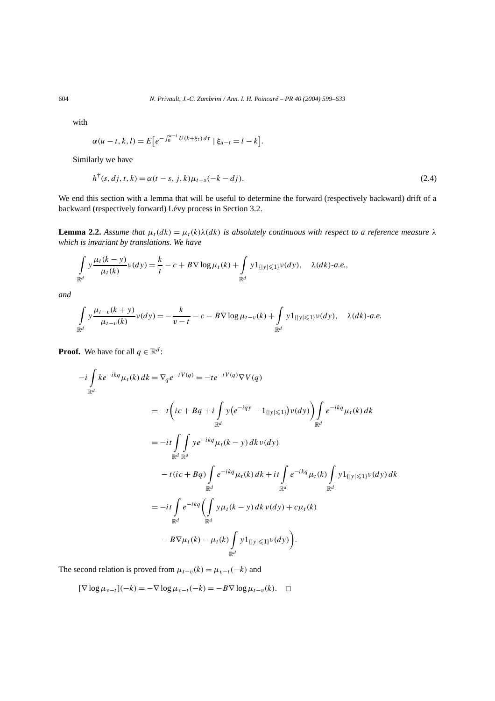with

$$
\alpha(u - t, k, l) = E\big[e^{-\int_0^{u - t} U(k + \xi_\tau) d\tau} \mid \xi_{u - t} = l - k\big].
$$

Similarly we have

$$
h^{\dagger}(s, d j, t, k) = \alpha(t - s, j, k)\mu_{t - s}(-k - d j).
$$
\n(2.4)

We end this section with a lemma that will be useful to determine the forward (respectively backward) drift of a backward (respectively forward) Lévy process in Section 3.2.

**Lemma 2.2.** *Assume that*  $\mu_t(dk) = \mu_t(k)\lambda(dk)$  *is absolutely continuous with respect to a reference measure*  $\lambda$ *which is invariant by translations. We have*

$$
\int_{\mathbb{R}^d} y \frac{\mu_t(k-y)}{\mu_t(k)} \nu(dy) = \frac{k}{t} - c + B \nabla \log \mu_t(k) + \int_{\mathbb{R}^d} y 1_{\{|y| \leq 1\}} \nu(dy), \quad \lambda(dk)\text{-}a.e.,
$$

*and*

$$
\int_{\mathbb{R}^d} y \frac{\mu_{t-v}(k+y)}{\mu_{t-v}(k)} \nu(dy) = -\frac{k}{v-t} - c - B \nabla \log \mu_{t-v}(k) + \int_{\mathbb{R}^d} y 1_{\{|y| \leq 1\}} \nu(dy), \quad \lambda(dk)\text{-}a.e.
$$

**Proof.** We have for all  $q \in \mathbb{R}^d$ :

$$
-i\int_{\mathbb{R}^d} ke^{-ikq}\mu_t(k) dk = \nabla_q e^{-tV(q)} = -te^{-tV(q)}\nabla V(q)
$$
  
\n
$$
= -t\left(ic + Bq + i\int_{\mathbb{R}^d} y(e^{-iqy} - 1_{\{|y| \le 1\}})v(dy)\right) \int_{\mathbb{R}^d} e^{-ikq}\mu_t(k) dk
$$
  
\n
$$
= -it\int_{\mathbb{R}^d} \int_{\mathbb{R}^d} ye^{-ikq}\mu_t(k - y) dk v(dy)
$$
  
\n
$$
-t(ic + Bq) \int_{\mathbb{R}^d} e^{-ikq}\mu_t(k) dk + it \int_{\mathbb{R}^d} e^{-ikq}\mu_t(k) \int_{\mathbb{R}^d} y1_{\{|y| \le 1\}}v(dy) dk
$$
  
\n
$$
= -it\int_{\mathbb{R}^d} e^{-ikq}\left(\int_{\mathbb{R}^d} y\mu_t(k - y) dk v(dy) + c\mu_t(k)\right)
$$
  
\n
$$
-B\nabla \mu_t(k) - \mu_t(k) \int_{\mathbb{R}^d} y1_{\{|y| \le 1\}}v(dy)\right).
$$

The second relation is proved from  $\mu_{t-v}(k) = \mu_{v-t}(-k)$  and

 $[\nabla \log \mu_{v-t}](-k) = -\nabla \log \mu_{v-t}(-k) = -B \nabla \log \mu_{t-v}(k).$  □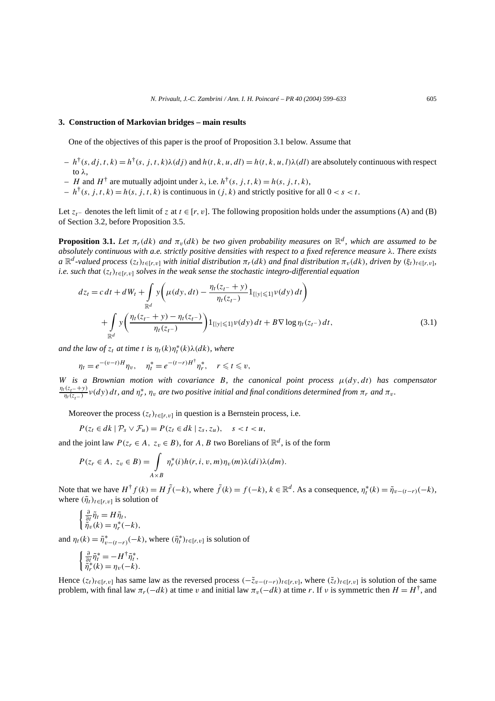#### **3. Construction of Markovian bridges – main results**

One of the objectives of this paper is the proof of Proposition 3.1 below. Assume that

- $h^{\dagger}(s, di, t, k) = h^{\dagger}(s, j, t, k) \lambda(di)$  and  $h(t, k, u, dl) = h(t, k, u, l) \lambda(dl)$  are absolutely continuous with respect to *λ*,
- $-H$  and  $H^{\dagger}$  are mutually adjoint under  $\lambda$ , i.e.  $h^{\dagger}(s, j, t, k) = h(s, j, t, k)$ ,
- $h^{\dagger}(s, j, t, k) = h(s, j, t, k)$  is continuous in *(j, k)* and strictly positive for all  $0 < s < t$ .

Let  $z_t$ − denotes the left limit of *z* at  $t \in [r, v]$ . The following proposition holds under the assumptions (A) and (B) of Section 3.2, before Proposition 3.5.

**Proposition 3.1.** *Let*  $\pi_r(dk)$  *and*  $\pi_v(dk)$  *be two given probability measures on*  $\mathbb{R}^d$ *, which are assumed to be absolutely continuous with a.e. strictly positive densities with respect to a fixed reference measure λ. There exists*  $a \mathbb{R}^d$ -valued process  $(z_t)_{t \in [r, v]}$  *with initial distribution*  $\pi_r(dx)$  *and final distribution*  $\pi_v(dx)$ *, driven by*  $(\xi_t)_{t \in [r, v]}$ *, i.e.* such that  $(z_t)_{t \in [r, v]}$  solves in the weak sense the stochastic integro-differential equation

$$
dz_{t} = c dt + dW_{t} + \int_{\mathbb{R}^{d}} y \left( \mu(dy, dt) - \frac{\eta_{t}(z_{t^{-}} + y)}{\eta_{t}(z_{t^{-}})} 1_{\{|y| \leq 1\}} \nu(dy) dt \right) + \int_{\mathbb{R}^{d}} y \left( \frac{\eta_{t}(z_{t^{-}} + y) - \eta_{t}(z_{t^{-}})}{\eta_{t}(z_{t^{-}})} \right) 1_{\{|y| \leq 1\}} \nu(dy) dt + B \nabla \log \eta_{t}(z_{t^{-}}) dt,
$$
\n(3.1)

*and the law of*  $z_t$  *at time t is*  $\eta_t(k)\eta_t^*(k)\lambda(dk)$ *, where* 

$$
\eta_t = e^{-(v-t)H} \eta_v, \quad \eta_t^* = e^{-(t-r)H^{\dagger}} \eta_r^*, \quad r \le t \le v,
$$

*W is a Brownian motion with covariance B, the canonical point process µ(dy, dt) has compensator*  $\frac{\eta_t(z_t - y)}{\eta_t(z_{t-})}$  *v*(*dy*) *dt*, and  $\eta_t^*$ ,  $\eta_v$  are two positive initial and final conditions determined from  $\pi_r$  and  $\pi_v$ .

Moreover the process  $(z_t)_{t \in [r, v]}$  in question is a Bernstein process, i.e.

$$
P(z_t \in dk \mid \mathcal{P}_s \vee \mathcal{F}_u) = P(z_t \in dk \mid z_s, z_u), \quad s < t < u,
$$

and the joint law  $P(z_r \in A, z_v \in B)$ , for *A*, *B* two Borelians of  $\mathbb{R}^d$ , is of the form

$$
P(z_r \in A, z_v \in B) = \int_{A \times B} \eta_r^*(i) h(r, i, v, m) \eta_v(m) \lambda(di) \lambda(dm).
$$

Note that we have  $H^{\dagger} f(k) = H \tilde{f}(-k)$ , where  $\tilde{f}(k) = f(-k)$ ,  $k \in \mathbb{R}^d$ . As a consequence,  $\eta_t^*(k) = \tilde{\eta}_{v-(t-r)}(-k)$ , where  $(\tilde{\eta}_t)_{t \in [r, v]}$  is solution of

$$
\begin{cases} \frac{\partial}{\partial t} \tilde{\eta}_t = H \tilde{\eta}_t, \\ \tilde{\eta}_v(k) = \eta_r^*(-k), \end{cases}
$$

and  $\eta_t(k) = \tilde{\eta}_{v-(t-r)}^*(-k)$ , where  $(\tilde{\eta}_t^*)_{t \in [r,v]}$  is solution of

$$
\begin{cases} \frac{\partial}{\partial t} \tilde{\eta}_t^* = -H^\dagger \tilde{\eta}_t^*, \\ \tilde{\eta}_r^*(k) = \eta_v(-k). \end{cases}
$$

Hence  $(z_t)_{t\in[r,v]}$  has same law as the reversed process  $(-\tilde{z}_{v-(t-r)})_{t\in[r,v]}$ , where  $(\tilde{z}_t)_{t\in[r,v]}$  is solution of the same problem, with final law  $\pi_r(-dk)$  at time *v* and initial law  $\pi_v(-dk)$  at time *r*. If *v* is symmetric then  $H = H^{\dagger}$ , and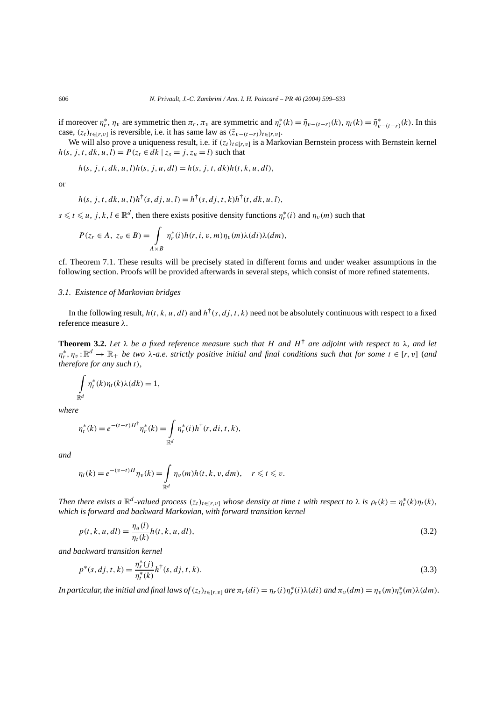if moreover  $\eta_r^*$ ,  $\eta_v$  are symmetric then  $\pi_r$ ,  $\pi_v$  are symmetric and  $\eta_t^*(k) = \tilde{\eta}_{v-(t-r)}(k)$ ,  $\eta_t(k) = \tilde{\eta}_{v-(t-r)}^*(k)$ . In this case,  $(z_t)_{t \in [r, v]}$  is reversible, i.e. it has same law as  $(\tilde{z}_{v-(t-r)})_{t \in [r, v]}$ .

We will also prove a uniqueness result, i.e. if  $(z_t)_{t\in[r,v]}$  is a Markovian Bernstein process with Bernstein kernel  $h(s, j, t, dk, u, l) = P(z_t \in dk \mid z_s = j, z_u = l)$  such that

$$
h(s, j, t, dk, u, l)h(s, j, u, dl) = h(s, j, t, dk)h(t, k, u, dl),
$$

or

$$
h(s, j, t, dk, u, l)h^{\dagger}(s, dj, u, l) = h^{\dagger}(s, dj, t, k)h^{\dagger}(t, dk, u, l),
$$

 $s \le t \le u$ ,  $j, k, l \in \mathbb{R}^d$ , then there exists positive density functions  $\eta_r^*(i)$  and  $\eta_v(m)$  such that

$$
P(z_r \in A, z_v \in B) = \int_{A \times B} \eta_r^*(i) h(r, i, v, m) \eta_v(m) \lambda(di) \lambda(dm),
$$

cf. Theorem 7.1. These results will be precisely stated in different forms and under weaker assumptions in the following section. Proofs will be provided afterwards in several steps, which consist of more refined statements.

### *3.1. Existence of Markovian bridges*

In the following result,  $h(t, k, u, dl)$  and  $h^{\dagger}(s, dj, t, k)$  need not be absolutely continuous with respect to a fixed reference measure *λ*.

**Theorem 3.2.** Let  $\lambda$  be a fixed reference measure such that H and  $H^{\dagger}$  are adjoint with respect to  $\lambda$ , and let  $\eta_r^*, \eta_v : \mathbb{R}^d \to \mathbb{R}_+$  *be two λ-a.e. strictly positive initial and final conditions such that for some*  $t \in [r, v]$  (*and therefore for any such t),*

$$
\int_{\mathbb{R}^d} \eta_t^*(k) \eta_t(k) \lambda(dk) = 1,
$$

*where*

$$
\eta_t^*(k) = e^{-(t-r)H^{\dagger}} \eta_r^*(k) = \int_{\mathbb{R}^d} \eta_r^*(i) h^{\dagger}(r, di, t, k),
$$

*and*

$$
\eta_t(k) = e^{-(v-t)H} \eta_v(k) = \int_{\mathbb{R}^d} \eta_v(m) h(t, k, v, dm), \quad r \leq t \leq v.
$$

*Then there exists a*  $\mathbb{R}^d$ -valued process  $(z_t)_{t \in [r,v]}$  whose density at time t with respect to  $\lambda$  is  $\rho_t(k) = \eta_t^*(k)\eta_t(k)$ , *which is forward and backward Markovian, with forward transition kernel*

$$
p(t, k, u, dl) = \frac{\eta_u(l)}{\eta_t(k)} h(t, k, u, dl),
$$
\n(3.2)

*and backward transition kernel*

$$
p^*(s, dj, t, k) = \frac{\eta_s^*(j)}{\eta_t^*(k)} h^{\dagger}(s, dj, t, k).
$$
\n(3.3)

*In particular, the initial and final laws of*  $(z_t)_{t\in[r,v]}$  *are*  $\pi_r(d\iota) = \eta_r(i)\eta^*_r(i)\lambda(di)$  *and*  $\pi_v(dm) = \eta_v(m)\eta^*_v(m)\lambda(dm)$ *.*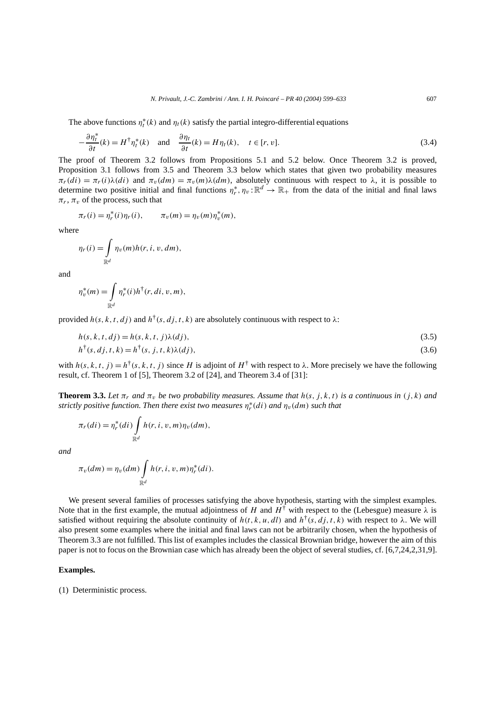The above functions  $\eta_t^*(k)$  and  $\eta_t(k)$  satisfy the partial integro-differential equations

$$
-\frac{\partial \eta_t^*}{\partial t}(k) = H^{\dagger} \eta_t^*(k) \quad \text{and} \quad \frac{\partial \eta_t}{\partial t}(k) = H \eta_t(k), \quad t \in [r, v]. \tag{3.4}
$$

The proof of Theorem 3.2 follows from Propositions 5.1 and 5.2 below. Once Theorem 3.2 is proved, Proposition 3.1 follows from 3.5 and Theorem 3.3 below which states that given two probability measures  $\pi_r(d_i) = \pi_r(i)\lambda(di)$  and  $\pi_v(dm) = \pi_v(m)\lambda(dm)$ , absolutely continuous with respect to  $\lambda$ , it is possible to determine two positive initial and final functions  $\eta_r^*, \eta_v : \mathbb{R}^d \to \mathbb{R}_+$  from the data of the initial and final laws  $\pi_r$ ,  $\pi_v$  of the process, such that

$$
\pi_r(i) = \eta_r^*(i)\eta_r(i), \qquad \pi_v(m) = \eta_v(m)\eta_v^*(m),
$$

where

$$
\eta_r(i) = \int_{\mathbb{R}^d} \eta_v(m) h(r, i, v, dm),
$$

and

$$
\eta_v^*(m) = \int\limits_{\mathbb{R}^d} \eta_r^*(i) h^{\dagger}(r, di, v, m),
$$

provided  $h(s, k, t, d<sub>i</sub>)$  and  $h<sup>†</sup>(s, d<sub>i</sub>, t, k)$  are absolutely continuous with respect to  $\lambda$ :

$$
h(s, k, t, dj) = h(s, k, t, j)\lambda(dy),\tag{3.5}
$$

$$
h^{\dagger}(s, dj, t, k) = h^{\dagger}(s, j, t, k)\lambda(dj),
$$
\n(3.6)

with  $h(s, k, t, j) = h^{\dagger}(s, k, t, j)$  since *H* is adjoint of  $H^{\dagger}$  with respect to  $\lambda$ . More precisely we have the following result, cf. Theorem 1 of [5], Theorem 3.2 of [24], and Theorem 3.4 of [31]:

**Theorem 3.3.** Let  $\pi_r$  and  $\pi_v$  be two probability measures. Assume that  $h(s, j, k, t)$  is a continuous in  $(j, k)$  and *strictly positive function. Then there exist two measures*  $\eta_r^*(d i)$  *and*  $\eta_v(d m)$  *such that* 

$$
\pi_r(di) = \eta_r^*(di) \int_{\mathbb{R}^d} h(r, i, v, m) \eta_v(dm),
$$

*and*

$$
\pi_v(dm) = \eta_v(dm) \int_{\mathbb{R}^d} h(r, i, v, m) \eta_r^*(di).
$$

We present several families of processes satisfying the above hypothesis, starting with the simplest examples. Note that in the first example, the mutual adjointness of *H* and  $H^{\dagger}$  with respect to the (Lebesgue) measure  $\lambda$  is satisfied without requiring the absolute continuity of  $h(t, k, u, dl)$  and  $h^{\dagger}(s, dj, t, k)$  with respect to  $\lambda$ . We will also present some examples where the initial and final laws can not be arbitrarily chosen, when the hypothesis of Theorem 3.3 are not fulfilled. This list of examples includes the classical Brownian bridge, however the aim of this paper is not to focus on the Brownian case which has already been the object of several studies, cf. [6,7,24,2,31,9].

# **Examples.**

(1) Deterministic process.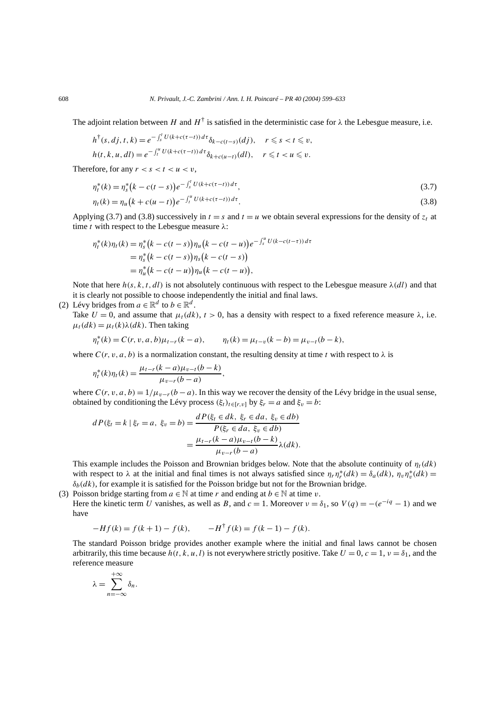The adjoint relation between *H* and  $H^{\dagger}$  is satisfied in the deterministic case for  $\lambda$  the Lebesgue measure, i.e.

$$
h^{\dagger}(s, d j, t, k) = e^{-\int_s^t U(k + c(\tau - t)) d\tau} \delta_{k - c(t - s)}(dj), \quad r \leq s < t \leq v,
$$
  

$$
h(t, k, u, dl) = e^{-\int_t^u U(k + c(\tau - t)) d\tau} \delta_{k + c(u - t)}(dl), \quad r \leq t < u \leq v.
$$

Therefore, for any  $r < s < t < u < v$ ,

$$
\eta_t^*(k) = \eta_s^*\left(k - c(t - s)\right)e^{-\int_s^t U(k + c(\tau - t))\,d\tau},\tag{3.7}
$$

$$
\eta_t(k) = \eta_u(k + c(u - t))e^{-\int_t^u U(k + c(\tau - t))d\tau}.
$$
\n(3.8)

Applying (3.7) and (3.8) successively in  $t = s$  and  $t = u$  we obtain several expressions for the density of  $z_t$  at time *t* with respect to the Lebesgue measure *λ*:

$$
\eta_t^*(k)\eta_t(k) = \eta_s^*(k - c(t - s))\eta_u(k - c(t - u))e^{-\int_s^u U(k - c(t - \tau))d\tau} \n= \eta_s^*(k - c(t - s))\eta_s(k - c(t - s)) \n= \eta_u^*(k - c(t - u))\eta_u(k - c(t - u)),
$$

Note that here  $h(s, k, t, dl)$  is not absolutely continuous with respect to the Lebesgue measure  $\lambda(dl)$  and that it is clearly not possible to choose independently the initial and final laws.

(2) Lévy bridges from  $a \in \mathbb{R}^d$  to  $b \in \mathbb{R}^d$ .

Take  $U = 0$ , and assume that  $\mu_t(dk)$ ,  $t > 0$ , has a density with respect to a fixed reference measure  $\lambda$ , i.e.  $\mu_t(dk) = \mu_t(k)\lambda(dk)$ . Then taking

$$
\eta_t^*(k) = C(r, v, a, b)\mu_{t-r}(k-a), \qquad \eta_t(k) = \mu_{t-v}(k-b) = \mu_{v-t}(b-k),
$$

where  $C(r, v, a, b)$  is a normalization constant, the resulting density at time *t* with respect to  $\lambda$  is

$$
\eta_t^*(k)\eta_t(k) = \frac{\mu_{t-r}(k-a)\mu_{v-t}(b-k)}{\mu_{v-r}(b-a)},
$$

where  $C(r, v, a, b) = 1/\mu_{v-r}(b - a)$ . In this way we recover the density of the Lévy bridge in the usual sense, obtained by conditioning the Lévy process  $(\xi_t)_{t \in [r, v]}$  by  $\xi_r = a$  and  $\xi_v = b$ :

$$
dP(\xi_t = k \mid \xi_r = a, \ \xi_v = b) = \frac{dP(\xi_t \in dk, \ \xi_r \in da, \ \xi_v \in db)}{P(\xi_r \in da, \ \xi_v \in db)} = \frac{\mu_{t-r}(k-a)\mu_{v-t}(b-k)}{\mu_{v-r}(b-a)}\lambda(dk).
$$

This example includes the Poisson and Brownian bridges below. Note that the absolute continuity of  $\eta_t(dk)$ with respect to  $\lambda$  at the initial and final times is not always satisfied since  $\eta_r \eta_r^*(dk) = \delta_a(dk)$ ,  $\eta_v \eta_v^*(dk) =$ *δb(dk)*, for example it is satisfied for the Poisson bridge but not for the Brownian bridge.

(3) Poisson bridge starting from  $a \in \mathbb{N}$  at time *r* and ending at  $b \in \mathbb{N}$  at time *v*. Here the kinetic term *U* vanishes, as well as *B*, and  $c = 1$ . Moreover  $v = \delta_1$ , so  $V(q) = -(e^{-iq} - 1)$  and we have

$$
-Hf(k) = f(k+1) - f(k), \qquad -H^{\dagger}f(k) = f(k-1) - f(k).
$$

The standard Poisson bridge provides another example where the initial and final laws cannot be chosen arbitrarily, this time because  $h(t, k, u, l)$  is not everywhere strictly positive. Take  $U = 0$ ,  $c = 1$ ,  $v = \delta_1$ , and the reference measure

$$
\lambda = \sum_{n=-\infty}^{+\infty} \delta_n.
$$

+∞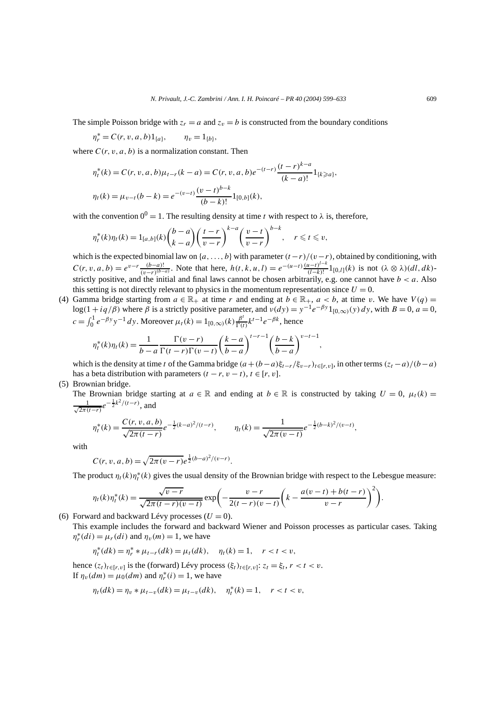$$
\eta_r^* = C(r, v, a, b) 1_{\{a\}}, \qquad \eta_v = 1_{\{b\}},
$$

where  $C(r, v, a, b)$  is a normalization constant. Then

$$
\eta_t^*(k) = C(r, v, a, b)\mu_{t-r}(k-a) = C(r, v, a, b)e^{-(t-r)}\frac{(t-r)^{k-a}}{(k-a)!}1_{\{k\geq a\}},
$$
  

$$
\eta_t(k) = \mu_{v-t}(b-k) = e^{-(v-t)}\frac{(v-t)^{b-k}}{(b-k)!}1_{[0,b]}(k),
$$

with the convention  $0^0 = 1$ . The resulting density at time *t* with respect to  $\lambda$  is, therefore,

$$
\eta_t^*(k)\eta_t(k) = 1_{[a,b]}(k) \binom{b-a}{k-a} \left(\frac{t-r}{v-r}\right)^{k-a} \left(\frac{v-t}{v-r}\right)^{b-k}, \quad r \leq t \leq v,
$$

which is the expected binomial law on {*a,...,b*} with parameter*(t* −*r)/(v*−*r)*, obtained by conditioning, with  $C(r, v, a, b) = e^{v-r} \frac{(b-a)!}{(v-r)^{(b-a)}}$ . Note that here,  $h(t, k, u, l) = e^{-(u-t)} \frac{(u-t)^{l-k}}{(l-k)!} 1_{[0,l]}(k)$  is not  $(\lambda \otimes \lambda)(dl, dk)$ strictly positive, and the initial and final laws cannot be chosen arbitrarily, e.g. one cannot have  $b < a$ . Also this setting is not directly relevant to physics in the momentum representation since  $U = 0$ .

(4) Gamma bridge starting from  $a \in \mathbb{R}_+$  at time  $r$  and ending at  $b \in \mathbb{R}_+$ ,  $a \leq b$ , at time  $v$ . We have  $V(q) =$ log(1 + *iq*/ $\beta$ ) where  $\beta$  is a strictly positive parameter, and  $\nu(dy) = y^{-1}e^{-\beta y}1_{[0,\infty)}(y) dy$ , with  $B = 0$ ,  $a = 0$ ,  $c = \int_0^1 e^{-\beta y} y^{-1} dy$ . Moreover  $\mu_t(k) = 1_{[0,\infty)}(k) \frac{\beta^t}{\Gamma(t)} k^{t-1} e^{-\beta k}$ , hence

$$
\eta_t^*(k)\eta_t(k) = \frac{1}{b-a} \frac{\Gamma(v-r)}{\Gamma(t-r)\Gamma(v-t)} \left(\frac{k-a}{b-a}\right)^{t-r-1} \left(\frac{b-k}{b-a}\right)^{v-t-1},
$$

which is the density at time *t* of the Gamma bridge  $(a+(b-a)\xi_{t-r}/\xi_{v-r})_{t\in[r,v]}$ , in other terms  $(z_t-a)/(b-a)$ has a beta distribution with parameters  $(t - r, v - t)$ ,  $t \in [r, v]$ .

(5) Brownian bridge.

The Brownian bridge starting at  $a \in \mathbb{R}$  and ending at  $b \in \mathbb{R}$  is constructed by taking  $U = 0$ ,  $\mu_t(k) =$  $\frac{1}{\sqrt{2\pi(t-r)}}e^{-\frac{1}{2}k^2/(t-r)},$  and

$$
\eta_t^*(k) = \frac{C(r, v, a, b)}{\sqrt{2\pi (t - r)}} e^{-\frac{1}{2}(k - a)^2/(t - r)}, \qquad \eta_t(k) = \frac{1}{\sqrt{2\pi (v - t)}} e^{-\frac{1}{2}(b - k)^2/(v - t)},
$$

with

$$
C(r, v, a, b) = \sqrt{2\pi (v - r)} e^{\frac{1}{2}(b - a)^2/(v - r)}.
$$

The product  $\eta_t(k)\eta_t^*(k)$  gives the usual density of the Brownian bridge with respect to the Lebesgue measure:

$$
\eta_t(k)\eta_t^*(k) = \frac{\sqrt{v-r}}{\sqrt{2\pi(t-r)(v-t)}}\exp\bigg(-\frac{v-r}{2(t-r)(v-t)}\bigg(k - \frac{a(v-t) + b(t-r)}{v-r}\bigg)^2\bigg).
$$

(6) Forward and backward Lévy processes  $(U = 0)$ .

This example includes the forward and backward Wiener and Poisson processes as particular cases. Taking  $\eta_r^*(di) = \mu_r(di)$  and  $\eta_v(m) = 1$ , we have

$$
\eta_t^*(dk) = \eta_r^* * \mu_{t-r}(dk) = \mu_t(dk), \quad \eta_t(k) = 1, \quad r < t < v,
$$

hence  $(z_t)_{t \in [r, v]}$  is the (forward) Lévy process  $(\xi_t)_{t \in [r, v]}$ :  $z_t = \xi_t, r < t < v$ . If  $\eta_v(dm) = \mu_0(dm)$  and  $\eta_r^*(i) = 1$ , we have

$$
\eta_t(dk) = \eta_v * \mu_{t-v}(dk) = \mu_{t-v}(dk), \quad \eta_t^*(k) = 1, \quad r < t < v,
$$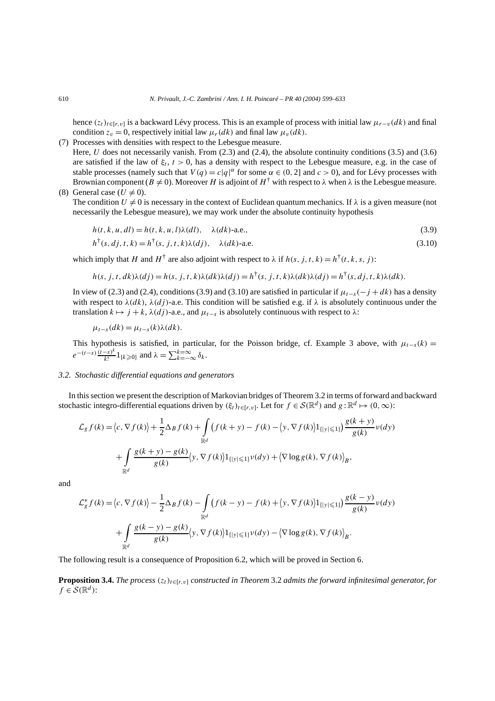hence  $(z_t)_{t\in[r,v]}$  is a backward Lévy process. This is an example of process with initial law  $\mu_{r-v}(dk)$  and final condition  $z_v = 0$ , respectively initial law  $\mu_r(dk)$  and final law  $\mu_v(dk)$ .

(7) Processes with densities with respect to the Lebesgue measure.

Here, *U* does not necessarily vanish. From (2.3) and (2.4), the absolute continuity conditions (3.5) and (3.6) are satisfied if the law of  $\xi_t$ ,  $t > 0$ , has a density with respect to the Lebesgue measure, e.g. in the case of stable processes (namely such that  $V(q) = c|q|^{\alpha}$  for some  $\alpha \in (0, 2]$  and  $c > 0$ ), and for Lévy processes with Brownian component ( $B \neq 0$ ). Moreover *H* is adjoint of  $H^{\dagger}$  with respect to  $\lambda$  when  $\lambda$  is the Lebesgue measure.

(8) General case 
$$
(U \neq 0)
$$
.

The condition  $U \neq 0$  is necessary in the context of Euclidean quantum mechanics. If  $\lambda$  is a given measure (not necessarily the Lebesgue measure), we may work under the absolute continuity hypothesis

$$
h(t, k, u, dl) = h(t, k, u, l)\lambda(dl), \quad \lambda(dk)\text{-a.e.,}
$$
\n(3.9)

$$
h^{\dagger}(s, dj, t, k) = h^{\dagger}(s, j, t, k)\lambda(dj), \quad \lambda(dk)\text{-a.e.}
$$
\n(3.10)

which imply that *H* and  $H^{\dagger}$  are also adjoint with respect to  $\lambda$  if  $h(s, j, t, k) = h^{\dagger}(t, k, s, j)$ :

$$
h(s, j, t, dk)\lambda(dy) = h(s, j, t, k)\lambda(dk)\lambda(dy) = h^{\dagger}(s, j, t, k)\lambda(dk)\lambda(dy) = h^{\dagger}(s, dj, t, k)\lambda(dk).
$$

In view of (2.3) and (2.4), conditions (3.9) and (3.10) are satisfied in particular if  $\mu_{t-s}(-j + dk)$  has a density with respect to  $\lambda(dx)$ ,  $\lambda(dy)$ -a.e. This condition will be satisfied e.g. if  $\lambda$  is absolutely continuous under the translation  $k \mapsto j + k$ ,  $\lambda(dy)$ -a.e., and  $\mu_{t-s}$  is absolutely continuous with respect to  $\lambda$ :

$$
\mu_{t-s}(dk) = \mu_{t-s}(k)\lambda(dk).
$$

This hypothesis is satisfied, in particular, for the Poisson bridge, cf. Example 3 above, with  $\mu_{t-s}(k)$  =  $e^{-(t-s)\frac{(t-s)^k}{k!}}1_{\{k\geqslant 0\}}$  and  $\lambda = \sum_{k=-\infty}^{k=\infty} \delta_k$ .

## *3.2. Stochastic differential equations and generators*

In this section we present the description of Markovian bridges of Theorem 3.2 in terms of forward and backward stochastic integro-differential equations driven by  $(\xi_t)_{t\in[r,v]}$ . Let for  $f \in \mathcal{S}(\mathbb{R}^d)$  and  $g : \mathbb{R}^d \mapsto (0,\infty)$ :

$$
\mathcal{L}_{g}f(k) = \langle c, \nabla f(k) \rangle + \frac{1}{2} \Delta_B f(k) + \int_{\mathbb{R}^d} \left( f(k+y) - f(k) - \langle y, \nabla f(k) \rangle \mathbf{1}_{\{|y| \le 1\}} \right) \frac{g(k+y)}{g(k)} \nu(dy)
$$

$$
+ \int_{\mathbb{R}^d} \frac{g(k+y) - g(k)}{g(k)} \langle y, \nabla f(k) \rangle \mathbf{1}_{\{|y| \le 1\}} \nu(dy) + \langle \nabla \log g(k), \nabla f(k) \rangle_B,
$$

and

$$
\mathcal{L}_{g}^{*}f(k) = \langle c, \nabla f(k) \rangle - \frac{1}{2} \Delta_{B} f(k) - \int_{\mathbb{R}^{d}} \left( f(k-y) - f(k) + \langle y, \nabla f(k) \rangle \right) \frac{g(k-y)}{g(k)} \nu(dy)
$$

$$
+ \int_{\mathbb{R}^{d}} \frac{g(k-y) - g(k)}{g(k)} \langle y, \nabla f(k) \rangle \left| \left. \mathbf{1}_{\{|y| \leq 1\}} \nu(dy) - \langle \nabla \log g(k), \nabla f(k) \rangle \right|_{B}.
$$

The following result is a consequence of Proposition 6.2, which will be proved in Section 6.

**Proposition 3.4.** *The process*  $(z_t)_{t \in [r, v]}$  *constructed in Theorem* 3.2 *admits the forward infinitesimal generator, for*  $f \in \mathcal{S}(\mathbb{R}^d)$ :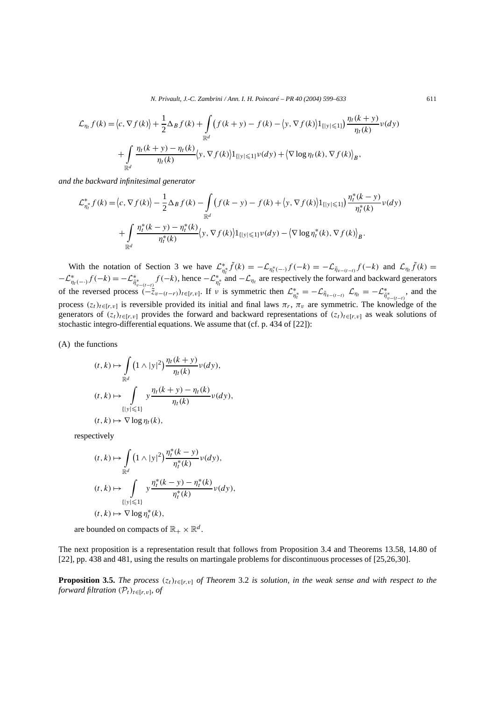*N. Privault, J.-C. Zambrini / Ann. I. H. Poincaré – PR 40 (2004) 599–633* 611

$$
\mathcal{L}_{\eta_t} f(k) = \langle c, \nabla f(k) \rangle + \frac{1}{2} \Delta_B f(k) + \int_{\mathbb{R}^d} \left( f(k+y) - f(k) - \langle y, \nabla f(k) \rangle \mathbf{1}_{\{|y| \le 1\}} \right) \frac{\eta_t(k+y)}{\eta_t(k)} \nu(dy)
$$

$$
+ \int_{\mathbb{R}^d} \frac{\eta_t(k+y) - \eta_t(k)}{\eta_t(k)} \langle y, \nabla f(k) \rangle \mathbf{1}_{\{|y| \le 1\}} \nu(dy) + \langle \nabla \log \eta_t(k), \nabla f(k) \rangle_B,
$$

*and the backward infinitesimal generator*

$$
\mathcal{L}_{\eta_t^*}^* f(k) = \langle c, \nabla f(k) \rangle - \frac{1}{2} \Delta_B f(k) - \int_{\mathbb{R}^d} \left( f(k - y) - f(k) + \langle y, \nabla f(k) \rangle \mathbf{1}_{\{|y| \le 1\}} \right) \frac{\eta_t^*(k - y)}{\eta_t^*(k)} \nu(dy) \n+ \int_{\mathbb{R}^d} \frac{\eta_t^*(k - y) - \eta_t^*(k)}{\eta_t^*(k)} \langle y, \nabla f(k) \rangle \mathbf{1}_{\{|y| \le 1\}} \nu(dy) - \langle \nabla \log \eta_t^*(k), \nabla f(k) \rangle_B.
$$

With the notation of Section 3 we have  $\mathcal{L}_{\eta_t^*}^* \tilde{f}(k) = -\mathcal{L}_{\eta_t^*(-)} f(-k) = -\mathcal{L}_{\tilde{\eta}_{v-(t-t)}} f(-k)$  and  $\mathcal{L}_{\eta_t} \tilde{f}(k) =$  $-\mathcal{L}^*_{\eta_t(-\cdot)}f(-k) = -\mathcal{L}^*_{\tilde{\eta}^*_{v-(t-t)}}f(-k)$ , hence  $-\mathcal{L}^*_{\eta^*_t}$  and  $-\mathcal{L}_{\eta_t}$  are respectively the forward and backward generators of the reversed process  $(-\tilde{z}_{v-(t-r)})_{t\in[r,v]}$ . If v is symmetric then  $\mathcal{L}^*_{\eta_t^*} = -\mathcal{L}_{\tilde{\eta}_{v-(t-t)}} \mathcal{L}_{\eta_t} = -\mathcal{L}^*_{\tilde{\eta}_{v-(t-t)}}$ , and the process  $(z_t)_{t\in[r,v]}$  is reversible provided its initial and final laws  $\pi_r$ ,  $\pi_v$  are symmetric. The knowledge of the generators of  $(z_t)_{t \in [r, v]}$  provides the forward and backward representations of  $(z_t)_{t \in [r, v]}$  as weak solutions of stochastic integro-differential equations. We assume that (cf. p. 434 of [22]):

(A) the functions

$$
(t, k) \mapsto \int_{\mathbb{R}^d} \left(1 \wedge |y|^2\right) \frac{\eta_t(k + y)}{\eta_t(k)} \nu(dy),
$$
  

$$
(t, k) \mapsto \int_{\{|y| \le 1\}} y \frac{\eta_t(k + y) - \eta_t(k)}{\eta_t(k)} \nu(dy),
$$
  

$$
(t, k) \mapsto \nabla \log \eta_t(k),
$$

respectively

$$
(t, k) \mapsto \int_{\mathbb{R}^d} \left(1 \wedge |y|^2\right) \frac{\eta_t^*(k - y)}{\eta_t^*(k)} \nu(dy),
$$
  

$$
(t, k) \mapsto \int_{\{|y| \le 1\}} y \frac{\eta_t^*(k - y) - \eta_t^*(k)}{\eta_t^*(k)} \nu(dy),
$$
  

$$
(t, k) \mapsto \nabla \log \eta_t^*(k),
$$

are bounded on compacts of  $\mathbb{R}_+ \times \mathbb{R}^d$ .

The next proposition is a representation result that follows from Proposition 3.4 and Theorems 13.58, 14.80 of [22], pp. 438 and 481, using the results on martingale problems for discontinuous processes of [25,26,30].

**Proposition 3.5.** *The process*  $(z_t)_{t \in [r, v]}$  *of Theorem* 3.2 *is solution, in the weak sense and with respect to the forward filtration*  $(\mathcal{P}_t)_{t \in [r, v]}$ *, of*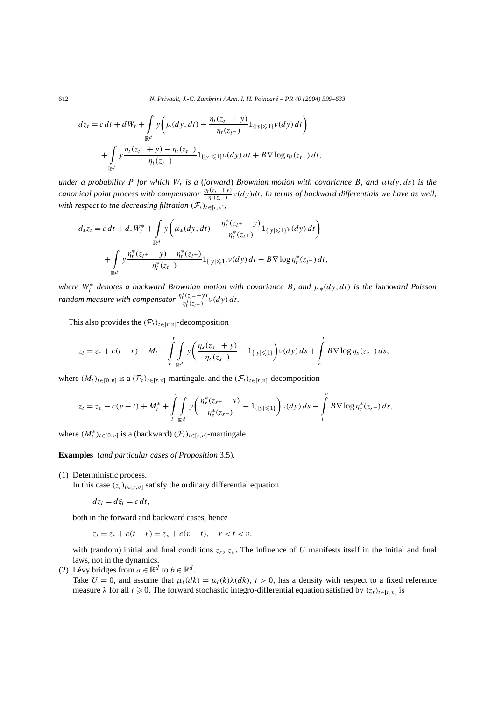612 *N. Privault, J.-C. Zambrini / Ann. I. H. Poincaré – PR 40 (2004) 599–633*

$$
dz_t = c dt + dW_t + \int_{\mathbb{R}^d} y \left( \mu(dy, dt) - \frac{\eta_t(z_t - y)}{\eta_t(z_t - y)} 1_{\{|y| \le 1\}} \nu(dy) dt \right) + \int_{\mathbb{R}^d} y \frac{\eta_t(z_t - y) - \eta_t(z_t - z)}{\eta_t(z_t - z)} 1_{\{|y| \le 1\}} \nu(dy) dt + B \nabla \log \eta_t(z_t - z) dt,
$$

*under a probability P for which*  $W_t$  *is a (forward) Brownian motion with covariance B, and*  $\mu(dy, ds)$  *is the canonical point process with compensator*  $\frac{\eta_t(z_t+y)}{\eta_t(z_t-y)}v(dy)dt$ *. In terms of backward differentials we have as well, with respect to the decreasing filtration*  $(\mathcal{F}_t)_{t \in [r, v]}$ 

$$
d_* z_t = c dt + d_* W_t^* + \int_{\mathbb{R}^d} y \left( \mu_* (dy, dt) - \frac{\eta_t^* (z_{t+} - y)}{\eta_t^* (z_{t+})} 1_{\{|y| \le 1\}} \nu(dy) dt \right) + \int_{\mathbb{R}^d} y \frac{\eta_t^* (z_{t+} - y) - \eta_t^* (z_{t+})}{\eta_t^* (z_{t+})} 1_{\{|y| \le 1\}} \nu(dy) dt - B \nabla \log \eta_t^* (z_{t+}) dt,
$$

*where W*<sup>∗</sup> *<sup>t</sup> denotes a backward Brownian motion with covariance B, and µ*∗*(dy, dt) is the backward Poisson random measure with compensator*  $\frac{\eta_t^*(z_t - y)}{\eta_t^*(z_{t-})} v(dy) dt$ .

This also provides the  $(\mathcal{P}_t)_{t \in [r, v]}$ -decomposition

$$
z_t = z_r + c(t - r) + M_t + \int\limits_r^t \int\limits_{\mathbb{R}^d} y \bigg( \frac{\eta_s(z_s - y)}{\eta_s(z_s -)} - 1_{\{|y| \leq 1\}} \bigg) \nu(dy) \, ds + \int\limits_r^t B \nabla \log \eta_s(z_s -) \, ds,
$$

where  $(M_t)_{t \in [0, v]}$  is a  $(\mathcal{P}_t)_{t \in [r, v]}$ -martingale, and the  $(\mathcal{F}_t)_{t \in [r, v]}$ -decomposition

$$
z_t = z_v - c(v - t) + M_t^* + \int\limits_t^v \int\limits_{\mathbb{R}^d} y \bigg( \frac{\eta_s^*(z_s + - y)}{\eta_s^*(z_{s^+})} - 1_{\{|y| \leq 1\}} \bigg) v(dy) ds - \int\limits_t^v B \nabla \log \eta_s^*(z_s +) ds,
$$

where  $(M_t^*)_{t \in [0, v]}$  is a (backward)  $(\mathcal{F}_t)_{t \in [r, v]}$ -martingale.

**Examples** (*and particular cases of Proposition* 3.5)*.*

(1) Deterministic process.

In this case  $(z_t)_{t \in [r, v]}$  satisfy the ordinary differential equation

$$
dz_t = d\xi_t = c dt,
$$

both in the forward and backward cases, hence

$$
z_t = z_r + c(t - r) = z_v + c(v - t), \quad r < t < v,
$$

with (random) initial and final conditions  $z_r$ ,  $z_v$ . The influence of *U* manifests itself in the initial and final laws, not in the dynamics.

(2) Lévy bridges from  $a \in \mathbb{R}^d$  to  $b \in \mathbb{R}^d$ .

Take  $U = 0$ , and assume that  $\mu_t(dk) = \mu_t(k)\lambda(dk)$ ,  $t > 0$ , has a density with respect to a fixed reference measure  $\lambda$  for all  $t \ge 0$ . The forward stochastic integro-differential equation satisfied by  $(z_t)_{t \in [r, v]}$  is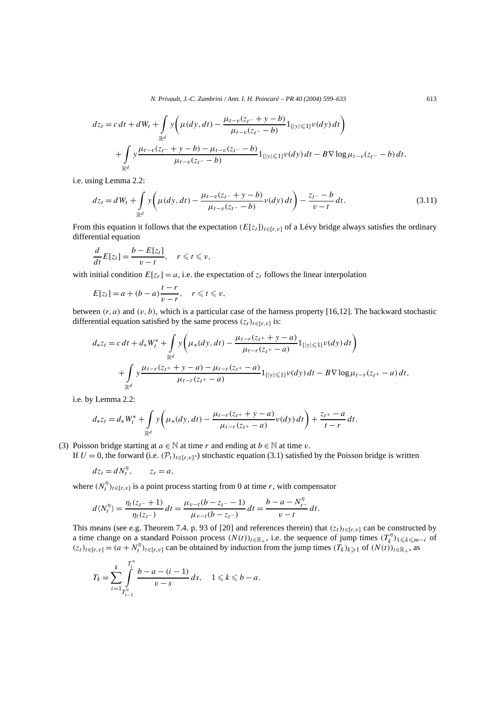*N. Privault, J.-C. Zambrini / Ann. I. H. Poincaré – PR 40 (2004) 599–633* 613

$$
dz_t = c dt + dW_t + \int_{\mathbb{R}^d} y \left( \mu(dy, dt) - \frac{\mu_{t-v}(z_t - y - b)}{\mu_{t-v}(z_t - b)} 1_{\{|y| \le 1\}} \nu(dy) dt \right) + \int_{\mathbb{R}^d} y \frac{\mu_{t-v}(z_t - y - b) - \mu_{t-v}(z_t - b)}{\mu_{t-v}(z_t - b)} 1_{\{|y| \le 1\}} \nu(dy) dt - B \nabla \log \mu_{t-v}(z_t - b) dt,
$$

i.e. using Lemma 2.2:

$$
dz_t = dW_t + \int_{\mathbb{R}^d} y \left( \mu(dy, dt) - \frac{\mu_{t-v}(z_{t-} + y - b)}{\mu_{t-v}(z_{t-} - b)} \nu(dy) dt \right) - \frac{z_{t-} - b}{v - t} dt.
$$
 (3.11)

From this equation it follows that the expectation  $(E[z_t])_{t \in [r, v]}$  of a Lévy bridge always satisfies the ordinary differential equation

$$
\frac{d}{dt}E[z_t] = \frac{b - E[z_t]}{v - t}, \quad r \leq t \leq v,
$$

with initial condition  $E[z_r] = a$ , i.e. the expectation of  $z_t$  follows the linear interpolation

$$
E[z_t] = a + (b - a) \frac{t - r}{v - r}, \quad r \leq t \leq v,
$$

between  $(r, a)$  and  $(v, b)$ , which is a particular case of the harness property [16,12]. The backward stochastic differential equation satisfied by the same process  $(z_t)_{t \in [r, v]}$  is:

$$
d_{*}z_{t} = c dt + d_{*}W_{t}^{*} + \int_{\mathbb{R}^{d}} y\left(\mu_{*}(dy, dt) - \frac{\mu_{t-r}(z_{t} + y - a)}{\mu_{t-r}(z_{t} + a)} 1_{\{|y| \leq 1\}} \nu(dy) dt\right) + \int_{\mathbb{R}^{d}} y\frac{\mu_{t-r}(z_{t} + y - a) - \mu_{t-r}(z_{t} + a)}{\mu_{t-r}(z_{t} + a)} 1_{\{|y| \leq 1\}} \nu(dy) dt - B \nabla \log \mu_{t-r}(z_{t} + a) dt,
$$

i.e. by Lemma 2.2:

$$
d_* z_t = d_* W_t^* + \int_{\mathbb{R}^d} y \left( \mu_* (dy, dt) - \frac{\mu_{t-r} (z_{t^+} + y - a)}{\mu_{t-r} (z_{t^+} - a)} \nu(dy) dt \right) + \frac{z_{t^+} - a}{t - r} dt.
$$

(3) Poisson bridge starting at  $a \in \mathbb{N}$  at time *r* and ending at  $b \in \mathbb{N}$  at time *v*.

If  $U = 0$ , the forward (i.e.  $(\mathcal{P}_t)_{t \in [r, v]}$ -) stochastic equation (3.1) satisfied by the Poisson bridge is written

$$
dz_t = dN_t^{\eta}, \qquad z_r = a,
$$

where  $(N_t^n)_{t \in [r, v]}$  is a point process starting from 0 at time *r*, with compensator

$$
d\langle N_t^n \rangle = \frac{\eta_t(z_t - 1)}{\eta_t(z_t - 1)} dt = \frac{\mu_{v-t}(b - z_t - 1)}{\mu_{v-t}(b - z_t - 1)} dt = \frac{b - a - N_t^n}{v - t} dt.
$$

This means (see e.g. Theorem 7.4. p. 93 of [20] and references therein) that  $(z_t)_{t\in[r,v]}$  can be constructed by a time change on a standard Poisson process  $(N(t))_{t\in\mathbb{R}_+}$ , i.e. the sequence of jump times  $(T_k^{\eta})_{1\leq k\leq m-i}$  of  $(z_t)_{t\in[r,v]} = (a + N_t^{\eta})_{t\in[r,v]}$  can be obtained by induction from the jump times  $(T_k)_{k\geq 1}$  of  $(N(t))_{t\in\mathbb{R}_+}$ , as

$$
T_k = \sum_{i=1}^k \int_{T_{i-1}^{\eta}}^{T_i^{\eta}} \frac{b-a - (i-1)}{v-s} ds, \quad 1 \leq k \leq b-a.
$$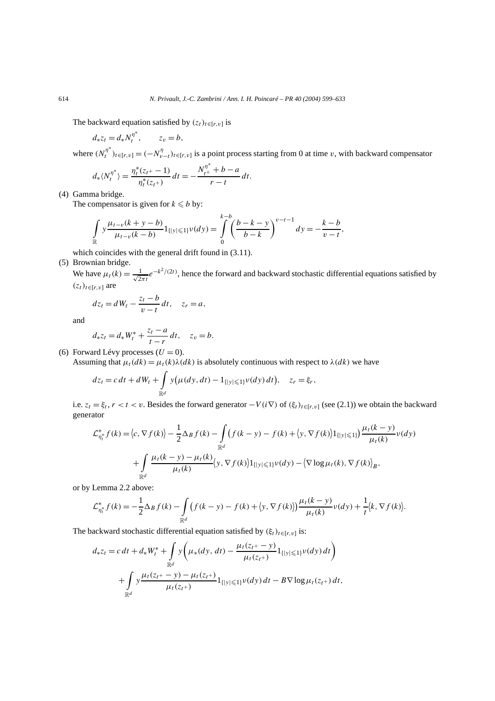The backward equation satisfied by  $(z_t)_{t \in [r, v]}$  is

$$
d_*z_t = d_*N_t^{\eta^*}, \qquad z_v = b,
$$

where  $(N_t^{\eta^*})_{t \in [r,v]} = (-N_{v-t}^{\eta})_{t \in [r,v]}$  is a point process starting from 0 at time *v*, with backward compensator

$$
d_{*}\langle N_t^{\eta^*}\rangle = \frac{\eta_t^*(z_{t^+}-1)}{\eta_t^*(z_{t^+})} dt = -\frac{N_{t^+}^{\eta^*} + b - a}{r - t} dt.
$$

(4) Gamma bridge.

The compensator is given for  $k \leq b$  by:

$$
\int_{\mathbb{R}} y \frac{\mu_{t-v}(k+y-b)}{\mu_{t-v}(k-b)} 1_{\{|y|\leq 1\}} \nu(dy) = \int_{0}^{k-b} \left(\frac{b-k-y}{b-k}\right)^{\nu-t-1} dy = -\frac{k-b}{\nu-t},
$$

which coincides with the general drift found in  $(3.11)$ .

# (5) Brownian bridge.

We have  $\mu_t(k) = \frac{1}{\sqrt{2\pi t}} e^{-k^2/(2t)}$ , hence the forward and backward stochastic differential equations satisfied by  $(z_t)_{t \in [r, v]}$  are

$$
dz_t = dW_t - \frac{z_t - b}{v - t} dt, \quad z_r = a,
$$

and

$$
d_*z_t = d_*W_t^* + \frac{z_t - a}{t - r} dt, \quad z_v = b.
$$

(6) Forward Lévy processes  $(U = 0)$ .

Assuming that  $\mu_t(dk) = \mu_t(k)\lambda(dk)$  is absolutely continuous with respect to  $\lambda(dk)$  we have

$$
dz_t = c dt + dW_t + \int_{\mathbb{R}^d} y(\mu(dy, dt) - 1_{\{|y| \leq 1\}} \nu(dy) dt), \quad z_r = \xi_r,
$$

i.e.  $z_t = \xi_t$ ,  $r < t < v$ . Besides the forward generator  $-V(i\nabla)$  of  $(\xi_t)_{t \in [r, v]}$  (see (2.1)) we obtain the backward generator

$$
\mathcal{L}_{\eta_t^*}^* f(k) = \langle c, \nabla f(k) \rangle - \frac{1}{2} \Delta_B f(k) - \int_{\mathbb{R}^d} \left( f(k - y) - f(k) + \langle y, \nabla f(k) \rangle \mathbb{1}_{\{|y| \le 1\}} \right) \frac{\mu_t(k - y)}{\mu_t(k)} \nu(dy)
$$

$$
+ \int_{\mathbb{R}^d} \frac{\mu_t(k - y) - \mu_t(k)}{\mu_t(k)} \langle y, \nabla f(k) \rangle \mathbb{1}_{\{|y| \le 1\}} \nu(dy) - \langle \nabla \log \mu_t(k), \nabla f(k) \rangle_B,
$$

or by Lemma 2.2 above:

$$
\mathcal{L}_{\eta_t^*}^* f(k) = -\frac{1}{2} \Delta_B f(k) - \int_{\mathbb{R}^d} \left( f(k - y) - f(k) + \langle y, \nabla f(k) \rangle \right) \frac{\mu_t(k - y)}{\mu_t(k)} \nu(dy) + \frac{1}{t} \langle k, \nabla f(k) \rangle.
$$

The backward stochastic differential equation satisfied by  $(\xi_t)_{t \in [r, v]}$  is:

$$
d_{*}z_{t} = c dt + d_{*}W_{t}^{*} + \int_{\mathbb{R}^{d}} y \left(\mu_{*}(dy, dt) - \frac{\mu_{t}(z_{t^{+}} - y)}{\mu_{t}(z_{t^{+}})} 1_{\{|y| \leq 1\}} \nu(dy) dt\right) + \int_{\mathbb{R}^{d}} y \frac{\mu_{t}(z_{t^{+}} - y) - \mu_{t}(z_{t^{+}})}{\mu_{t}(z_{t^{+}})} 1_{\{|y| \leq 1\}} \nu(dy) dt - B \nabla \log \mu_{t}(z_{t^{+}}) dt,
$$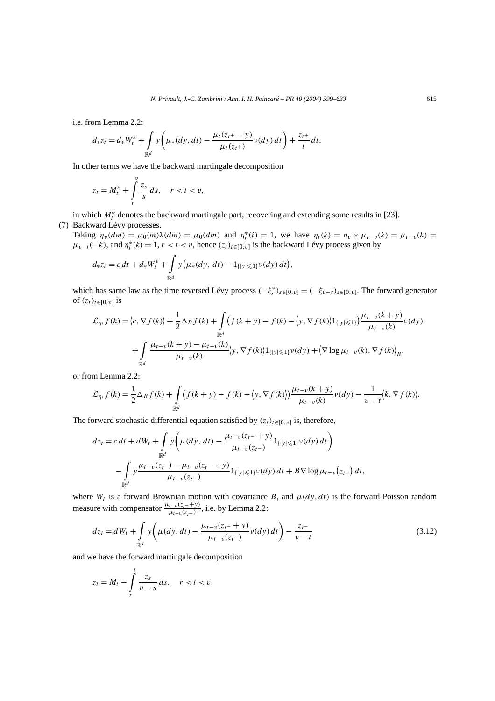i.e. from Lemma 2.2:

$$
d_* z_t = d_* W_t^* + \int_{\mathbb{R}^d} y \left( \mu_* (dy, dt) - \frac{\mu_t (z_{t^+} - y)}{\mu_t (z_{t^+})} \nu(dy) dt \right) + \frac{z_{t^+}}{t} dt.
$$

In other terms we have the backward martingale decomposition

$$
z_t = M_t^* + \int\limits_t^v \frac{z_s}{s} \, ds, \quad r < t < v,
$$

in which  $M_t^*$  denotes the backward martingale part, recovering and extending some results in [23]. (7) Backward Lévy processes.

Taking  $\eta_v(dm) = \mu_0(m)\lambda(dm) = \mu_0(dm)$  and  $\eta_r^*(i) = 1$ , we have  $\eta_t(k) = \eta_v * \mu_{t-v}(k) = \mu_{t-v}(k)$  $\mu_{v-t}(-k)$ , and  $\eta_t^*(k) = 1, r < t < v$ , hence  $(z_t)_{t \in [0, v]}$  is the backward Lévy process given by

$$
d_* z_t = c dt + d_* W_t^* + \int_{\mathbb{R}^d} y(\mu_*(dy, dt) - 1_{\{|y| \leq 1\}} \nu(dy) dt),
$$

which has same law as the time reversed Lévy process  $(-\xi_s^*)_{s \in [0,v]} = (-\xi_{v-s})_{s \in [0,v]}$ . The forward generator of  $(z_t)_{t \in [0, v]}$  is

$$
\mathcal{L}_{\eta_t} f(k) = \langle c, \nabla f(k) \rangle + \frac{1}{2} \Delta_B f(k) + \int_{\mathbb{R}^d} \left( f(k+y) - f(k) - \langle y, \nabla f(k) \rangle \mathbf{1}_{\{|y| \le 1\}} \right) \frac{\mu_{t-v}(k+y)}{\mu_{t-v}(k)} \nu(dy) \n+ \int_{\mathbb{R}^d} \frac{\mu_{t-v}(k+y) - \mu_{t-v}(k)}{\mu_{t-v}(k)} \langle y, \nabla f(k) \rangle \mathbf{1}_{\{|y| \le 1\}} \nu(dy) + \langle \nabla \log \mu_{t-v}(k), \nabla f(k) \rangle_B,
$$

or from Lemma 2.2:

$$
\mathcal{L}_{\eta_t} f(k) = \frac{1}{2} \Delta_B f(k) + \int_{\mathbb{R}^d} \left( f(k+y) - f(k) - \left\langle y, \nabla f(k) \right\rangle \right) \frac{\mu_{t-v}(k+y)}{\mu_{t-v}(k)} \nu(dy) - \frac{1}{v-t} \left\langle k, \nabla f(k) \right\rangle.
$$

The forward stochastic differential equation satisfied by  $(z_t)_{t \in [0, v]}$  is, therefore,

$$
dz_t = c dt + dW_t + \int_{\mathbb{R}^d} y \left( \mu(dy, dt) - \frac{\mu_{t-v}(z_t - y)}{\mu_{t-v}(z_{t-})} 1_{\{|y| \le 1\}} \nu(dy) dt \right) - \int_{\mathbb{R}^d} y \frac{\mu_{t-v}(z_{t-}) - \mu_{t-v}(z_{t-} + y)}{\mu_{t-v}(z_{t-})} 1_{\{|y| \le 1\}} \nu(dy) dt + B \nabla \log \mu_{t-v}(z_{t-}) dt,
$$

where  $W_t$  is a forward Brownian motion with covariance *B*, and  $\mu(dy, dt)$  is the forward Poisson random measure with compensator  $\frac{\mu_{t-v}(z_t - +y)}{\mu_{t-v}(z_t -)}$ , i.e. by Lemma 2.2:

$$
dz_t = dW_t + \int_{\mathbb{R}^d} y \left( \mu(dy, dt) - \frac{\mu_{t-v}(z_t + y)}{\mu_{t-v}(z_{t-})} \nu(dy) dt \right) - \frac{z_t - z_t}{v - t}
$$
(3.12)

and we have the forward martingale decomposition

$$
z_t = M_t - \int\limits_r^t \frac{z_s}{v-s} \, ds, \quad r < t < v,
$$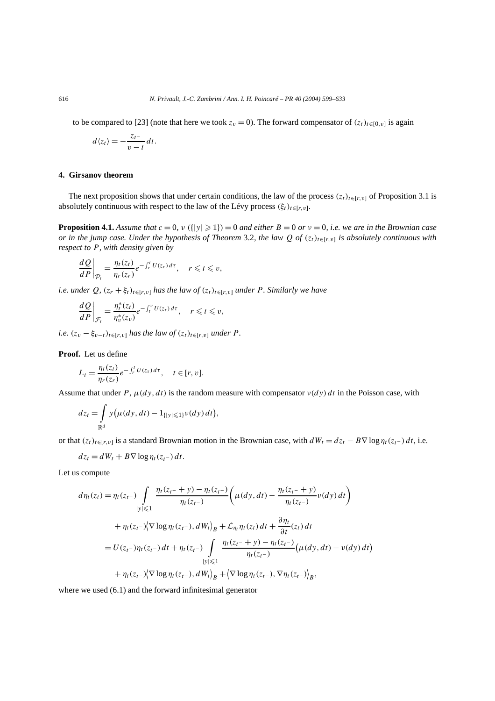to be compared to [23] (note that here we took  $z_v = 0$ ). The forward compensator of  $(z_t)_{t \in [0, v]}$  is again

$$
d\langle z_t\rangle=-\frac{z_{t^-}}{v-t}\,dt.
$$

# **4. Girsanov theorem**

The next proposition shows that under certain conditions, the law of the process  $(z_t)_{t\in[r,v]}$  of Proposition 3.1 is absolutely continuous with respect to the law of the Lévy process  $(\xi_t)_{t \in [r, v]}$ .

**Proposition 4.1.** Assume that  $c = 0$ ,  $\nu$  ({ $|y| \ge 1$ }) = 0 and either  $B = 0$  or  $\nu = 0$ , i.e. we are in the Brownian case *or in the jump case. Under the hypothesis of Theorem* 3.2*, the law Q of*  $(z_t)_{t \in [r, v]}$  *is absolutely continuous with respect to P, with density given by*

$$
\left. \frac{dQ}{dP} \right|_{\mathcal{P}_t} = \frac{\eta_t(z_t)}{\eta_r(z_r)} e^{-\int_r^t U(z_\tau) d\tau}, \quad r \leq t \leq v,
$$

*i.e. under*  $Q$ *,*  $(z_r + \xi_t)_{t \in [r, v]}$  *has the law of*  $(z_t)_{t \in [r, v]}$  *under P. Similarly we have* 

$$
\left. \frac{dQ}{dP} \right|_{\mathcal{F}_t} = \frac{\eta_t^*(z_t)}{\eta_v^*(z_v)} e^{-\int_t^v U(z_\tau) d\tau}, \quad r \leq t \leq v,
$$

*i.e.*  $(z_v - \xi_{v-t})_{t \in [r,v]}$  *has the law of*  $(z_t)_{t \in [r,v]}$  *under P.* 

**Proof.** Let us define

$$
L_t = \frac{\eta_t(z_t)}{\eta_r(z_r)} e^{-\int_r^t U(z_\tau) d\tau}, \quad t \in [r, v].
$$

Assume that under *P*,  $\mu(dy, dt)$  is the random measure with compensator  $\nu(dy) dt$  in the Poisson case, with

$$
dz_t = \int_{\mathbb{R}^d} y(\mu(dy, dt) - 1_{\{|y| \leq 1\}} \nu(dy) dt),
$$

or that  $(z_t)_{t\in[r,v]}$  is a standard Brownian motion in the Brownian case, with  $dW_t = dz_t - B\nabla \log \eta_t(z_t - dt)$ , i.e.

$$
dz_t = dW_t + B\nabla \log \eta_t(z_{t-}) dt.
$$

Let us compute

$$
d\eta_t(z_t) = \eta_t(z_{t-}) \int_{|y| \leq 1} \frac{\eta_t(z_{t-} + y) - \eta_t(z_{t-})}{\eta_t(z_{t-})} \left( \mu(dy, dt) - \frac{\eta_t(z_{t-} + y)}{\eta_t(z_{t-})} \nu(dy) dt \right)
$$
  
+ 
$$
\eta_t(z_{t-}) \langle \nabla \log \eta_t(z_{t-}), dW_t \rangle_B + \mathcal{L}_{\eta_t} \eta_t(z_t) dt + \frac{\partial \eta_t}{\partial t}(z_t) dt
$$
  
= 
$$
U(z_{t-}) \eta_t(z_{t-}) dt + \eta_t(z_{t-}) \int_{|y| \leq 1} \frac{\eta_t(z_{t-} + y) - \eta_t(z_{t-})}{\eta_t(z_{t-})} (\mu(dy, dt) - \nu(dy) dt)
$$
  
+ 
$$
\eta_t(z_{t-}) \langle \nabla \log \eta_t(z_{t-}), dW_t \rangle_B + \langle \nabla \log \eta_t(z_{t-}), \nabla \eta_t(z_{t-}) \rangle_B,
$$

where we used (6.1) and the forward infinitesimal generator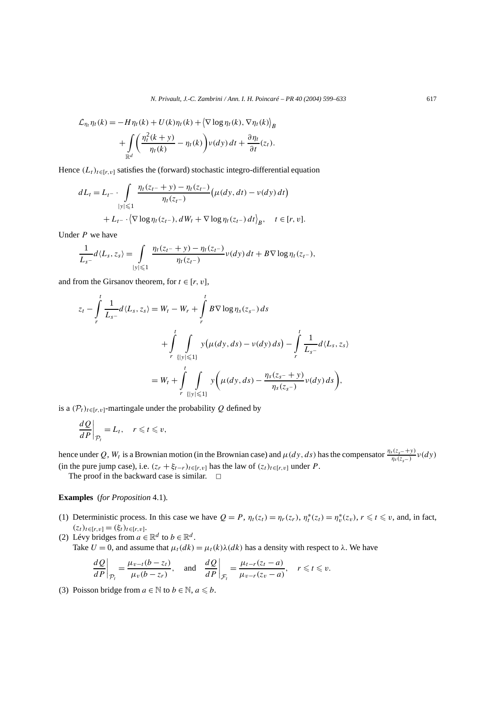$$
\mathcal{L}_{\eta_t} \eta_t(k) = -H \eta_t(k) + U(k) \eta_t(k) + \left\langle \nabla \log \eta_t(k), \nabla \eta_t(k) \right\rangle_B
$$

$$
+ \int_{\mathbb{R}^d} \left( \frac{\eta_t^2(k + y)}{\eta_t(k)} - \eta_t(k) \right) v(dy) dt + \frac{\partial \eta_t}{\partial t}(z_t).
$$

Hence  $(L_t)_{t \in [r, v]}$  satisfies the (forward) stochastic integro-differential equation

$$
dL_t = L_t - \int_{|y| \leq 1} \frac{\eta_t(z_{t-} + y) - \eta_t(z_{t-})}{\eta_t(z_{t-})} \left( \mu(dy, dt) - \nu(dy) dt \right) + L_{t-} \cdot \left\langle \nabla \log \eta_t(z_{t-}), dW_t + \nabla \log \eta_t(z_{t-}) dt \right\rangle_B, \quad t \in [r, v].
$$

Under *P* we have

$$
\frac{1}{L_{s^-}}d\langle L_s,z_s\rangle=\int\limits_{|y|\leqslant 1}\frac{\eta_t(z_t+y)-\eta_t(z_{t^-})}{\eta_t(z_{t^-})}\nu(dy)\,dt+B\nabla\log\eta_t(z_{t^-}),
$$

and from the Girsanov theorem, for  $t \in [r, v]$ ,

$$
z_{t} - \int_{r}^{t} \frac{1}{L_{s^{-}}} d\langle L_{s}, z_{s} \rangle = W_{t} - W_{r} + \int_{r}^{t} B \nabla \log \eta_{s}(z_{s^{-}}) ds + \int_{r}^{t} \int_{\{|y| \leq 1\}} y(\mu(dy, ds) - \nu(dy) ds) - \int_{r}^{t} \frac{1}{L_{s^{-}}} d\langle L_{s}, z_{s} \rangle = W_{t} + \int_{r}^{t} \int_{\{|y| \leq 1\}} y(\mu(dy, ds) - \frac{\eta_{s}(z_{s^{-}} + y)}{\eta_{s}(z_{s^{-}})} \nu(dy) ds),
$$

is a  $(\mathcal{P}_t)_{t \in [r, v]}$ -martingale under the probability *Q* defined by

$$
\left. \frac{dQ}{dP} \right|_{\mathcal{P}_t} = L_t, \quad r \leq t \leq v,
$$

hence under *Q*,  $W_t$  is a Brownian motion (in the Brownian case) and  $\mu(dy, ds)$  has the compensator  $\frac{\eta_s(z_s - y)}{\eta_s(z_s -)} \nu(dy)$ (in the pure jump case), i.e.  $(z_r + \xi_{t-r})_{t \in [r, v]}$  has the law of  $(z_t)_{t \in [r, v]}$  under *P*.

The proof in the backward case is similar.  $\Box$ 

**Examples** (*for Proposition* 4.1)*.*

- (1) Deterministic process. In this case we have  $Q = P$ ,  $\eta_t(z_t) = \eta_r(z_r)$ ,  $\eta_t^*(z_t) = \eta_v^*(z_v)$ ,  $r \le t \le v$ , and, in fact,  $(z_t)_{t \in [r,v]} = (\xi_t)_{t \in [r,v]}$ .
- (2) Lévy bridges from  $a \in \mathbb{R}^d$  to  $b \in \mathbb{R}^d$ .
	- Take  $U = 0$ , and assume that  $\mu_t(dk) = \mu_t(k)\lambda(dk)$  has a density with respect to  $\lambda$ . We have

$$
\left. \frac{dQ}{dP} \right|_{\mathcal{P}_t} = \frac{\mu_{v-t}(b - z_t)}{\mu_v(b - z_r)}, \quad \text{and} \quad \left. \frac{dQ}{dP} \right|_{\mathcal{F}_t} = \frac{\mu_{t-r}(z_t - a)}{\mu_{v-r}(z_v - a)}, \quad r \leq t \leq v.
$$

(3) Poisson bridge from  $a \in \mathbb{N}$  to  $b \in \mathbb{N}$ ,  $a \leq b$ .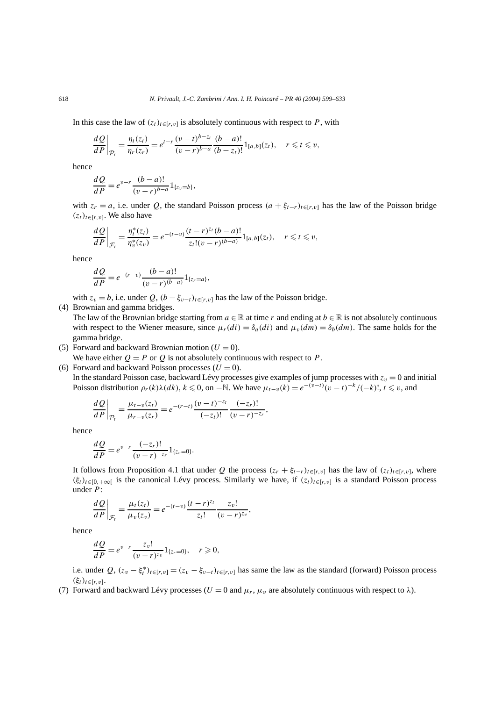In this case the law of  $(z_t)_{t \in [r, v]}$  is absolutely continuous with respect to *P*, with

$$
\frac{dQ}{dP}\bigg|_{\mathcal{P}_t} = \frac{\eta_t(z_t)}{\eta_r(z_r)} = e^{t-r} \frac{(v-t)^{b-z_t}}{(v-r)^{b-a}} \frac{(b-a)!}{(b-z_t)!} 1_{[a,b]}(z_t), \quad r \le t \le v,
$$

hence

$$
\frac{dQ}{dP} = e^{v-r} \frac{(b-a)!}{(v-r)^{b-a}} 1_{\{z_v = b\}},
$$

with  $z_r = a$ , i.e. under *Q*, the standard Poisson process  $(a + \xi_{t-r})_{t \in [r, v]}$  has the law of the Poisson bridge  $(z_t)_{t \in [r, v]}$ . We also have

$$
\frac{dQ}{dP}\bigg|_{\mathcal{F}_t} = \frac{\eta_t^*(z_t)}{\eta_v^*(z_v)} = e^{-(t-v)} \frac{(t-r)^{z_t}(b-a)!}{z_t!(v-r)^{(b-a)}} 1_{[a,b]}(z_t), \quad r \le t \le v,
$$

hence

$$
\frac{dQ}{dP} = e^{-(r-v)} \frac{(b-a)!}{(v-r)^{(b-a)}} 1_{\{z_r=a\}},
$$

with  $z_v = b$ , i.e. under  $Q$ ,  $(b - \xi_{v-t})_{t \in [r, v]}$  has the law of the Poisson bridge.

(4) Brownian and gamma bridges.

The law of the Brownian bridge starting from  $a \in \mathbb{R}$  at time r and ending at  $b \in \mathbb{R}$  is not absolutely continuous with respect to the Wiener measure, since  $\mu_r(di) = \delta_a(di)$  and  $\mu_v(dm) = \delta_b(dm)$ . The same holds for the gamma bridge.

(5) Forward and backward Brownian motion  $(U = 0)$ .

We have either  $Q = P$  or  $Q$  is not absolutely continuous with respect to  $P$ .

#### (6) Forward and backward Poisson processes  $(U = 0)$ .

In the standard Poisson case, backward Lévy processes give examples of jump processes with  $z_v = 0$  and initial Poisson distribution  $\rho_r(k)\lambda(dk)$ ,  $k \le 0$ , on −N. We have  $\mu_{t-v}(k) = e^{-(v-t)}(v-t)^{-k}/(-k)!$ ,  $t \le v$ , and

$$
\left. \frac{dQ}{dP} \right|_{\mathcal{P}_t} = \frac{\mu_{t-v}(z_t)}{\mu_{r-v}(z_r)} = e^{-(r-t)} \frac{(v-t)^{-z_t}}{(-z_t)!} \frac{(-z_r)!}{(v-r)^{-z_r}},
$$

hence

$$
\frac{dQ}{dP} = e^{v-r} \frac{(-z_r)!}{(v-r)^{-z_r}} 1_{\{z_v=0\}}.
$$

It follows from Proposition 4.1 that under *Q* the process  $(z_r + \xi_{t-r})_{t \in [r,v]}$  has the law of  $(z_t)_{t \in [r,v]}$ , where  $(\xi_t)_{t \in [0, +∞]}$  is the canonical Lévy process. Similarly we have, if  $(z_t)_{t \in [r, v]}$  is a standard Poisson process under *P*:

$$
\left. \frac{dQ}{dP} \right|_{\mathcal{F}_t} = \frac{\mu_t(z_t)}{\mu_v(z_v)} = e^{-(t-v)} \frac{(t-r)^{z_t}}{z_t!} \frac{z_v!}{(v-r)^{z_v}},
$$

hence

$$
\frac{dQ}{dP} = e^{v-r} \frac{z_v!}{(v-r)^{z_v}} 1_{\{z_r=0\}}, \quad r \geq 0,
$$

i.e. under  $Q$ ,  $(z_v - \xi_t^*)_{t \in [r,v]} = (z_v - \xi_{v-t})_{t \in [r,v]}$  has same the law as the standard (forward) Poisson process *(ξt)t*∈[*r,v*].

(7) Forward and backward Lévy processes ( $U = 0$  and  $\mu_r$ ,  $\mu_v$  are absolutely continuous with respect to  $\lambda$ ).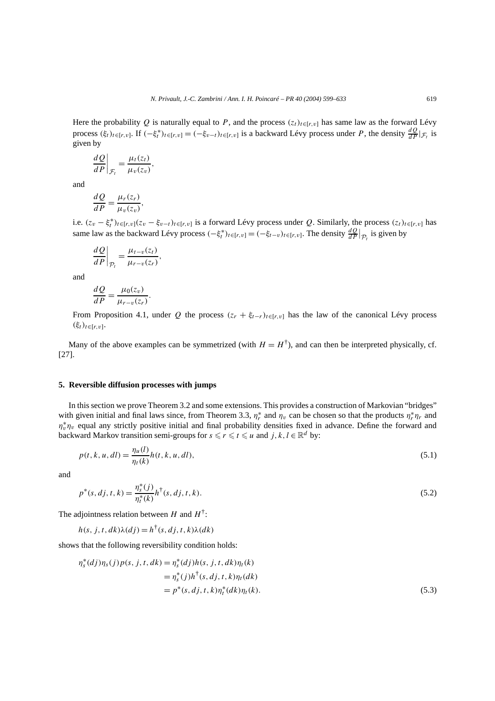Here the probability *Q* is naturally equal to *P*, and the process  $(z_t)_{t \in [r,v]}$  has same law as the forward Lévy process  $(\xi_t)_{t \in [r, v]}$ . If  $(-\xi_t^*)_{t \in [r, v]} = (-\xi_{v-t})_{t \in [r, v]}$  is a backward Lévy process under *P*, the density  $\frac{dQ}{dP}|_{\mathcal{F}_t}$  is given by

$$
\left. \frac{dQ}{dP} \right|_{\mathcal{F}_t} = \frac{\mu_t(z_t)}{\mu_v(z_v)},
$$

*,*

and

$$
\frac{dQ}{dP} = \frac{\mu_r(z_r)}{\mu_v(z_v)}
$$

i.e.  $(z_v - \xi_t^*)_{t \in [r, v]}(z_v - \xi_{v-t})_{t \in [r, v]}$  is a forward Lévy process under *Q*. Similarly, the process  $(z_t)_{t \in [r, v]}$  has same law as the backward Lévy process  $(-\xi_t^*)_{t \in [r,v]} = (-\xi_{t-v})_{t \in [r,v]}$ . The density  $\frac{dQ}{dP}|_{\mathcal{P}_t}$  is given by

$$
\left. \frac{dQ}{dP} \right|_{\mathcal{P}_t} = \frac{\mu_{t-v}(z_t)}{\mu_{r-v}(z_r)},
$$

and

$$
\frac{dQ}{dP} = \frac{\mu_0(z_v)}{\mu_{r-v}(z_r)}.
$$

From Proposition 4.1, under *Q* the process  $(z_r + \xi_{t-r})_{t \in [r, v]}$  has the law of the canonical Lévy process  $(ξ<sub>t</sub>)<sub>t∈[r,v]</sub>$ .

Many of the above examples can be symmetrized (with  $H = H^{\dagger}$ ), and can then be interpreted physically, cf. [27].

# **5. Reversible diffusion processes with jumps**

In this section we prove Theorem 3.2 and some extensions. This provides a construction of Markovian "bridges" with given initial and final laws since, from Theorem 3.3,  $\eta_r^*$  and  $\eta_v$  can be chosen so that the products  $\eta_r^* \eta_r$  and  $\eta_v^* \eta_v$  equal any strictly positive initial and final probability densities fixed in advance. Define the forward and backward Markov transition semi-groups for  $s \le r \le t \le u$  and  $j, k, l \in \mathbb{R}^d$  by:

$$
p(t, k, u, dl) = \frac{\eta_u(l)}{\eta_t(k)} h(t, k, u, dl),
$$
\n(5.1)

and

$$
p^*(s, dj, t, k) = \frac{\eta_s^*(j)}{\eta_t^*(k)} h^{\dagger}(s, dj, t, k).
$$
\n(5.2)

The adjointness relation between *H* and  $H^{\dagger}$ :

$$
h(s, j, t, dk)\lambda(dj) = h^{\dagger}(s, dj, t, k)\lambda(dk)
$$

shows that the following reversibility condition holds:

$$
\eta_s^*(dj)\eta_s(j)p(s, j, t, dk) = \eta_s^*(dj)h(s, j, t, dk)\eta_t(k)
$$
  
= 
$$
\eta_s^*(j)h^{\dagger}(s, dj, t, k)\eta_t(dk)
$$
  
= 
$$
p^*(s, dj, t, k)\eta_t^*(dk)\eta_t(k).
$$
 (5.3)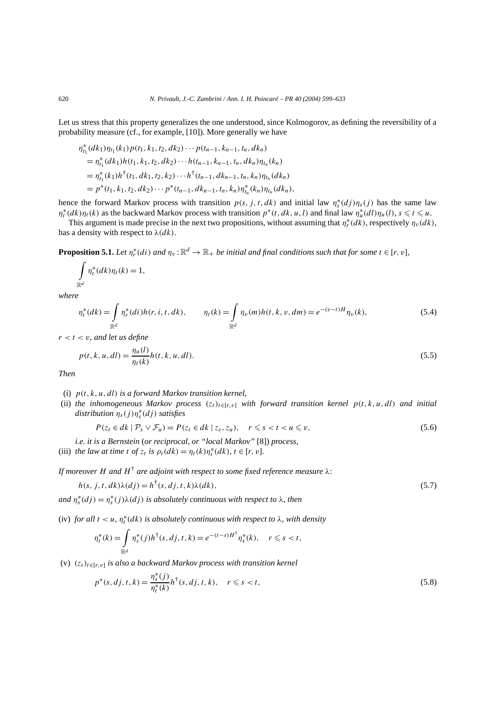Let us stress that this property generalizes the one understood, since Kolmogorov, as defining the reversibility of a probability measure (cf., for example, [10]). More generally we have

$$
\eta_{t_1}^*(dk_1)\eta_{t_1}(k_1)p(t_1, k_1, t_2, dk_2)\cdots p(t_{n-1}, k_{n-1}, t_n, dk_n)
$$
  
= 
$$
\eta_{t_1}^*(dk_1)h(t_1, k_1, t_2, dk_2)\cdots h(t_{n-1}, k_{n-1}, t_n, dk_n)\eta_{t_n}(k_n)
$$
  
= 
$$
\eta_{t_1}^*(k_1)h^{\dagger}(t_1, dk_1, t_2, k_2)\cdots h^{\dagger}(t_{n-1}, dk_{n-1}, t_n, k_n)\eta_{t_n}(dk_n)
$$
  
= 
$$
p^*(t_1, k_1, t_2, dk_2)\cdots p^*(t_{n-1}, dk_{n-1}, t_n, k_n)\eta_{t_n}^*(k_n)\eta_{t_n}(dk_n),
$$

hence the forward Markov process with transition  $p(s, j, t, dk)$  and initial law  $\eta_s^*(dj)\eta_s(j)$  has the same law  $\eta_t^*(dk)\eta_t(k)$  as the backward Markov process with transition  $p^*(t, dk, u, l)$  and final law  $\eta_u^*(dl)\eta_u(l)$ ,  $s \le t \le u$ .

This argument is made precise in the next two propositions, without assuming that  $\eta_r^*(d\tilde{k})$ , respectively  $\eta_v(dk)$ , has a density with respect to  $\lambda$ ( $dk$ ).

**Proposition 5.1.** *Let*  $\eta_r^*(di)$  *and*  $\eta_v : \mathbb{R}^d \to \mathbb{R}_+$  *be initial and final conditions such that for some*  $t \in [r, v]$ *,* 

$$
\int\limits_{\mathbb{R}^d} \eta_t^*(dk)\eta_t(k) = 1,
$$

*where*

$$
\eta_t^*(dk) = \int_{\mathbb{R}^d} \eta_r^*(di) h(r, i, t, dk), \qquad \eta_t(k) = \int_{\mathbb{R}^d} \eta_v(m) h(t, k, v, dm) = e^{-(v-t)H} \eta_v(k), \tag{5.4}
$$

 $r < t < v$ *, and let us define* 

$$
p(t, k, u, dl) = \frac{\eta_u(l)}{\eta_t(k)} h(t, k, u, dl).
$$
\n(5.5)

*Then*

- (i) *p(t , k, u, dl) is a forward Markov transition kernel,*
- (ii) *the inhomogeneous Markov process*  $(z_t)_{t\in [r,v]}$  *with forward transition kernel*  $p(t, k, u, dl)$  *and initial distribution ηs(j )η*<sup>∗</sup> *<sup>s</sup> (dj ) satisfies*

$$
P(z_t \in dk \mid \mathcal{P}_s \vee \mathcal{F}_u) = P(z_t \in dk \mid z_s, z_u), \quad r \leq s < t < u \leq v,\tag{5.6}
$$

*i.e. it is a Bernstein* (*or reciprocal, or "local Markov"* [8]) *process,*

(iii) *the law at time t of*  $z_t$  *is*  $\rho_t(dk) = \eta_t(k)\eta_t^*(dk)$ ,  $t \in [r, v]$ .

*If moreover H and H*† *are adjoint with respect to some fixed reference measure λ*:

$$
h(s, j, t, dk)\lambda(dj) = h^{\dagger}(s, dj, t, k)\lambda(dk),
$$
\n(5.7)

 $\alpha$ *n*<sup>\*</sup><sub>*s*</sub>(*dj*) =  $\eta_s^*$ (*j*) $\lambda$ (*dj*) *is absolutely continuous with respect to*  $\lambda$ *, then* 

(iv) *for all*  $t < u$ ,  $\eta_t^*(dk)$  *is absolutely continuous with respect to*  $\lambda$ *, with density* 

$$
\eta_t^*(k) = \int\limits_{\mathbb{R}^d} \eta_s^*(j) h^{\dagger}(s, dj, t, k) = e^{-(t-s)H^{\dagger}} \eta_s^*(k), \quad r \leq s < t,
$$

(v) *(zt)t*∈[*r,v*] *is also a backward Markov process with transition kernel*

$$
p^*(s, dj, t, k) = \frac{\eta_s^*(j)}{\eta_t^*(k)} h^{\dagger}(s, dj, t, k), \quad r \le s < t,
$$
\n(5.8)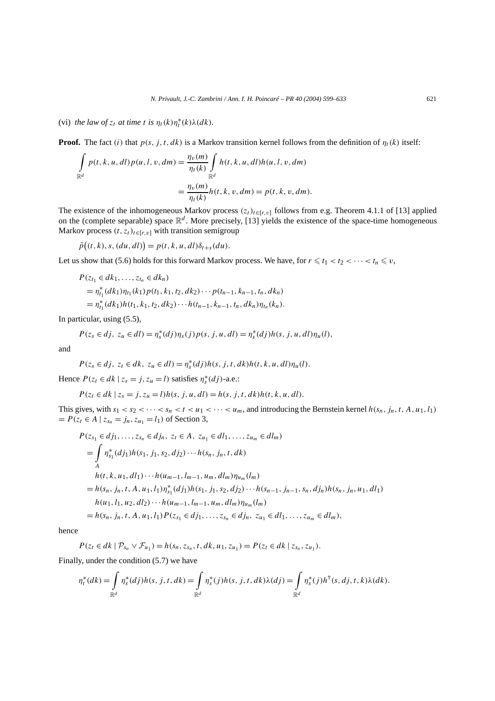(vi) *the law of*  $z_t$  *at time t is*  $\eta_t(k)\eta_t^*(k)\lambda(dk)$ *.* 

**Proof.** The fact *(i)* that  $p(s, j, t, dk)$  is a Markov transition kernel follows from the definition of  $\eta_t(k)$  itself:

$$
\int_{\mathbb{R}^d} p(t, k, u, dl) p(u, l, v, dm) = \frac{\eta_v(m)}{\eta_t(k)} \int_{\mathbb{R}^d} h(t, k, u, dl) h(u, l, v, dm)
$$

$$
= \frac{\eta_v(m)}{\eta_t(k)} h(t, k, v, dm) = p(t, k, v, dm).
$$

The existence of the inhomogeneous Markov process  $(z_t)_{t \in [r,v]}$  follows from e.g. Theorem 4.1.1 of [13] applied on the (complete separable) space  $\mathbb{R}^d$ . More precisely, [13] yields the existence of the space-time homogeneous Markov process  $(t, z_t)_{t \in [r, v]}$  with transition semigroup

 $\tilde{p}((t, k), s, (du, dl)) = p(t, k, u, dl)\delta_{t+s}(du).$ 

Let us show that (5.6) holds for this forward Markov process. We have, for  $r \le t_1 < t_2 < \cdots < t_n \le v$ ,

$$
P(z_{t_1} \in dk_1, ..., z_{t_n} \in dk_n)
$$
  
=  $\eta_{t_1}^*(dk_1)\eta_{t_1}(k_1)p(t_1, k_1, t_2, dk_2) \cdots p(t_{n-1}, k_{n-1}, t_n, dk_n)$   
=  $\eta_{t_1}^*(dk_1)h(t_1, k_1, t_2, dk_2) \cdots h(t_{n-1}, k_{n-1}, t_n, dk_n)\eta_{t_n}(k_n).$ 

In particular, using (5.5),

$$
P(z_s \in dj, z_u \in dl) = \eta_s^*(dj)\eta_s(j)p(s, j, u, dl) = \eta_s^*(dj)h(s, j, u, dl)\eta_u(l),
$$

and

$$
P(z_s\in dj,\ z_t\in dk,\ z_u\in dl)=\eta_s^*(dj)h(s,j,t,dk)h(t,k,u,dl)\eta_u(l).
$$

Hence  $P(z_t \in dk \mid z_s = j, z_u = l)$  satisfies  $\eta_s^*(dj)$ -a.e.:

$$
P(z_t \in dk \mid z_s = j, z_u = l)h(s, j, u, dl) = h(s, j, t, dk)h(t, k, u, dl).
$$

This gives, with  $s_1 < s_2 < \cdots < s_n < t < u_1 < \cdots < u_m$ , and introducing the Bernstein kernel  $h(s_n, j_n, t, A, u_1, l_1)$  $= P(z_t \in A \mid z_{s_n} = j_n, z_{u_1} = l_1)$  of Section 3,

$$
P(z_{s_1} \in d j_1, ..., z_{s_n} \in d j_n, z_t \in A, z_{u_1} \in d l_1, ..., z_{u_m} \in d l_m)
$$
  
=  $\int_{A} \eta_{s_1}^*(d j_1) h(s_1, j_1, s_2, d j_2) \cdots h(s_n, j_n, t, dk)$   
 $h(t, k, u_1, d l_1) \cdots h(u_{m-1}, l_{m-1}, u_m, d l_m) \eta_{u_m}(l_m)$   
=  $h(s_n, j_n, t, A, u_1, l_1) \eta_{s_1}^*(d j_1) h(s_1, j_1, s_2, d j_2) \cdots h(s_{n-1}, j_{n-1}, s_n, d j_n) h(s_n, j_n, u_1, d l_1)$   
 $h(u_1, l_1, u_2, d l_2) \cdots h(u_{m-1}, l_{m-1}, u_m, d l_m) \eta_{u_m}(l_m)$   
=  $h(s_n, j_n, t, A, u_1, l_1) P(z_{s_1} \in d j_1, ..., z_{s_n} \in d j_n, z_{u_1} \in d l_1, ..., z_{u_m} \in d l_m),$ 

hence

$$
P(z_t \in dk \mid \mathcal{P}_{s_n} \vee \mathcal{F}_{u_1}) = h(s_n, z_{s_n}, t, dk, u_1, z_{u_1}) = P(z_t \in dk \mid z_{s_n}, z_{u_1}).
$$

Finally, under the condition (5.7) we have

$$
\eta_t^*(dk) = \int_{\mathbb{R}^d} \eta_s^*(dj)h(s, j, t, dk) = \int_{\mathbb{R}^d} \eta_s^*(j)h(s, j, t, dk) \lambda(dj) = \int_{\mathbb{R}^d} \eta_s^*(j)h^{\dagger}(s, dj, t, k) \lambda(dk).
$$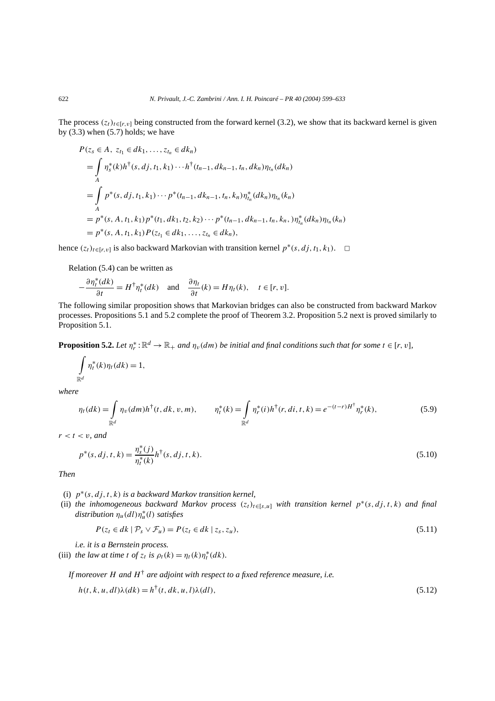The process  $(z_t)_{t \in [r, v]}$  being constructed from the forward kernel (3.2), we show that its backward kernel is given by  $(3.3)$  when  $(5.7)$  holds; we have

$$
P(z_s \in A, z_{t_1} \in dk_1, ..., z_{t_n} \in dk_n)
$$
  
=  $\int_{A} \eta_s^*(k)h^{\dagger}(s, dj, t_1, k_1) \cdots h^{\dagger}(t_{n-1}, dk_{n-1}, t_n, dk_n) \eta_{t_n}(dk_n)$   
=  $\int_{A} p^*(s, dj, t_1, k_1) \cdots p^*(t_{n-1}, dk_{n-1}, t_n, k_n) \eta_{t_n}^*(dk_n) \eta_{t_n}(k_n)$   
=  $p^*(s, A, t_1, k_1) p^*(t_1, dk_1, t_2, k_2) \cdots p^*(t_{n-1}, dk_{n-1}, t_n, k_n,) \eta_{t_n}^*(dk_n) \eta_{t_n}(k_n)$   
=  $p^*(s, A, t_1, k_1) P(z_{t_1} \in dk_1, ..., z_{t_n} \in dk_n),$ 

hence  $(z_t)_{t \in [r, v]}$  is also backward Markovian with transition kernel  $p^*(s, dj, t_1, k_1)$ . □

Relation (5.4) can be written as

$$
-\frac{\partial \eta_t^*(dk)}{\partial t} = H^{\dagger} \eta_t^*(dk) \quad \text{and} \quad \frac{\partial \eta_t}{\partial t}(k) = H \eta_t(k), \quad t \in [r, v].
$$

The following similar proposition shows that Markovian bridges can also be constructed from backward Markov processes. Propositions 5.1 and 5.2 complete the proof of Theorem 3.2. Proposition 5.2 next is proved similarly to Proposition 5.1.

**Proposition 5.2.** Let  $\eta_r^*: \mathbb{R}^d \to \mathbb{R}_+$  and  $\eta_v(dm)$  be initial and final conditions such that for some  $t \in [r, v]$ ,

$$
\int\limits_{\mathbb{R}^d} \eta_t^*(k)\eta_t(dk) = 1,
$$

*where*

$$
\eta_t(dk) = \int_{\mathbb{R}^d} \eta_v(dm)h^{\dagger}(t, dk, v, m), \qquad \eta_t^*(k) = \int_{\mathbb{R}^d} \eta_r^*(i)h^{\dagger}(r, di, t, k) = e^{-(t-r)H^{\dagger}}\eta_r^*(k), \tag{5.9}
$$

 $r < t < v$ *, and* 

$$
p^*(s, dj, t, k) = \frac{\eta_s^*(j)}{\eta_t^*(k)} h^{\dagger}(s, dj, t, k).
$$
\n(5.10)

*Then*

- (i) *p*∗*(s, dj,t , k) is a backward Markov transition kernel,*
- (ii) *the inhomogeneous backward Markov process*  $(z_t)_{t\in [s,u]}$  *with transition kernel*  $p^*(s, dj, t, k)$  *and final distribution*  $η<sub>u</sub>(dl)η<sub>u</sub><sup>*</sup>(l)$  *satisfies*

$$
P(z_t \in dk \mid \mathcal{P}_s \vee \mathcal{F}_u) = P(z_t \in dk \mid z_s, z_u),\tag{5.11}
$$

*i.e. it is a Bernstein process.*

(iii) *the law at time t of*  $z_t$  *is*  $\rho_t(k) = \eta_t(k)\eta_t^*(dk)$ *.* 

*If moreover H and H*† *are adjoint with respect to a fixed reference measure, i.e.*

$$
h(t, k, u, dl)\lambda(dk) = h^{\dagger}(t, dk, u, l)\lambda(dl),
$$
\n(5.12)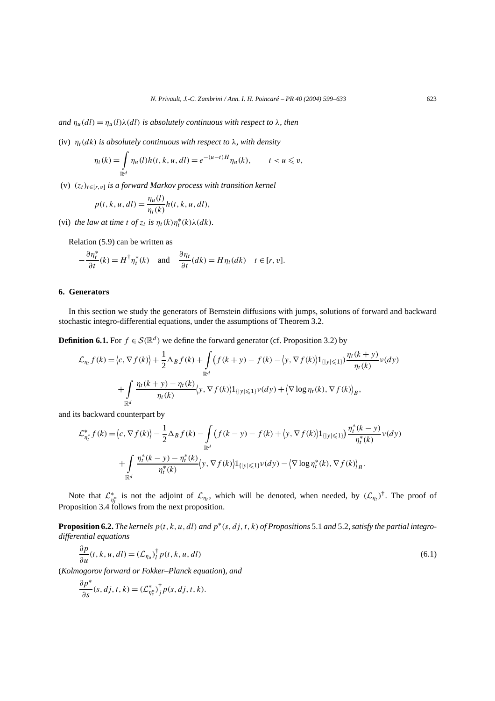*and*  $\eta_u(d) = \eta_u(l)\lambda(d)$  *is absolutely continuous with respect to*  $\lambda$ *, then* 

(iv)  $\eta_t(dk)$  *is absolutely continuous with respect to*  $\lambda$ *, with density* 

$$
\eta_t(k) = \int_{\mathbb{R}^d} \eta_u(l) h(t, k, u, dl) = e^{-(u-t)H} \eta_u(k), \qquad t < u \leq v,
$$

(v) *(zt)t*∈[*r,v*] *is a forward Markov process with transition kernel*

$$
p(t, k, u, dl) = \frac{\eta_u(l)}{\eta_t(k)} h(t, k, u, dl),
$$

(vi) *the law at time t of*  $z_t$  *is*  $\eta_t(k)\eta_t^*(k)\lambda(dk)$ *.* 

Relation (5.9) can be written as

$$
-\frac{\partial \eta_t^*}{\partial t}(k) = H^{\dagger} \eta_t^*(k) \quad \text{and} \quad \frac{\partial \eta_t}{\partial t}(dk) = H \eta_t(dk) \quad t \in [r, v].
$$

# **6. Generators**

In this section we study the generators of Bernstein diffusions with jumps, solutions of forward and backward stochastic integro-differential equations, under the assumptions of Theorem 3.2.

**Definition 6.1.** For  $f \in \mathcal{S}(\mathbb{R}^d)$  we define the forward generator (cf. Proposition 3.2) by

$$
\mathcal{L}_{\eta_t} f(k) = \langle c, \nabla f(k) \rangle + \frac{1}{2} \Delta_B f(k) + \int_{\mathbb{R}^d} \left( f(k+y) - f(k) - \langle y, \nabla f(k) \rangle \mathbf{1}_{\{|y| \le 1\}} \right) \frac{\eta_t(k+y)}{\eta_t(k)} \nu(dy)
$$

$$
+ \int_{\mathbb{R}^d} \frac{\eta_t(k+y) - \eta_t(k)}{\eta_t(k)} \langle y, \nabla f(k) \rangle \mathbf{1}_{\{|y| \le 1\}} \nu(dy) + \langle \nabla \log \eta_t(k), \nabla f(k) \rangle_B,
$$

and its backward counterpart by

$$
\mathcal{L}_{\eta_t^*}^* f(k) = \langle c, \nabla f(k) \rangle - \frac{1}{2} \Delta_B f(k) - \int_{\mathbb{R}^d} \left( f(k - y) - f(k) + \langle y, \nabla f(k) \rangle \mathbf{1}_{\{|y| \le 1\}} \right) \frac{\eta_t^*(k - y)}{\eta_t^*(k)} \nu(dy) \n+ \int_{\mathbb{R}^d} \frac{\eta_t^*(k - y) - \eta_t^*(k)}{\eta_t^*(k)} \langle y, \nabla f(k) \rangle \mathbf{1}_{\{|y| \le 1\}} \nu(dy) - \langle \nabla \log \eta_t^*(k), \nabla f(k) \rangle_B.
$$

Note that  $\mathcal{L}_{\eta_t^*}^*$  is not the adjoint of  $\mathcal{L}_{\eta_t}$ , which will be denoted, when needed, by  $(\mathcal{L}_{\eta_t})^{\dagger}$ . The proof of Proposition 3.4 follows from the next proposition.

**Proposition 6.2.** *The kernels p(t , k, u, dl) and p*∗*(s, dj,t , k) of Propositions* 5.1 *and* 5.2*, satisfy the partial integrodifferential equations*

$$
\frac{\partial p}{\partial u}(t, k, u, dl) = (\mathcal{L}_{\eta_u})_l^{\dagger} p(t, k, u, dl)
$$
\n(6.1)

(*Kolmogorov forward or Fokker–Planck equation*)*, and*

$$
\frac{\partial p^*}{\partial s}(s, dj, t, k) = (\mathcal{L}_{\eta_s^*}^*)^{\dagger} p(s, dj, t, k).
$$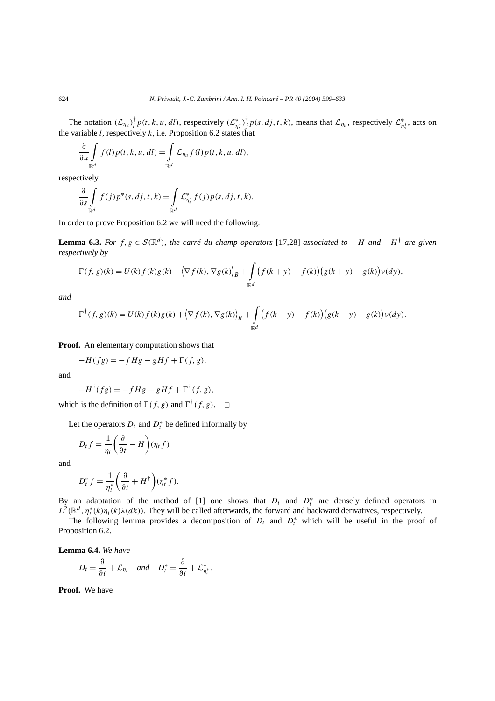The notation  $(\mathcal{L}_{\eta_u})_l^{\dagger} p(t, k, u, dl)$ , respectively  $(\mathcal{L}_{\eta_s^*}^*)_j^{\dagger} p(s, dj, t, k)$ , means that  $\mathcal{L}_{\eta_u}$ , respectively  $\mathcal{L}_{\eta_s^*}^*$ , acts on the variable  $l$ , respectively  $k$ , i.e. Proposition 6.2 states that

$$
\frac{\partial}{\partial u}\int_{\mathbb{R}^d}f(l)p(t,k,u,dl)=\int_{\mathbb{R}^d}\mathcal{L}_{\eta_u}f(l)p(t,k,u,dl),
$$

respectively

$$
\frac{\partial}{\partial s} \int\limits_{\mathbb{R}^d} f(j) p^*(s, dj, t, k) = \int\limits_{\mathbb{R}^d} \mathcal{L}_{\eta_s^*}^* f(j) p(s, dj, t, k).
$$

In order to prove Proposition 6.2 we will need the following.

**Lemma 6.3.** *For*  $f, g \in S(\mathbb{R}^d)$ *, the carré du champ operators* [17,28] *associated to* −*H and* −*H*<sup>†</sup> *are given respectively by*

$$
\Gamma(f,g)(k) = U(k)f(k)g(k) + \left\langle \nabla f(k), \nabla g(k) \right\rangle_B + \int_{\mathbb{R}^d} \left( f(k+y) - f(k) \right) \left( g(k+y) - g(k) \right) \nu(dy),
$$

*and*

$$
\Gamma^{\dagger}(f,g)(k) = U(k)f(k)g(k) + \left\langle \nabla f(k), \nabla g(k) \right\rangle_{B} + \int_{\mathbb{R}^d} \big(f(k-y) - f(k)\big) \big(g(k-y) - g(k)\big) \nu(dy).
$$

**Proof.** An elementary computation shows that

$$
-H(fg) = -fHg - gHf + \Gamma(f, g),
$$

and

$$
-H^{\dagger}(fg) = -fHg - gHf + \Gamma^{\dagger}(f,g),
$$

which is the definition of  $\Gamma(f, g)$  and  $\Gamma^{\dagger}(f, g)$ .  $\Box$ 

Let the operators  $D_t$  and  $D_t^*$  be defined informally by

$$
D_t f = \frac{1}{\eta_t} \left( \frac{\partial}{\partial t} - H \right) (\eta_t f)
$$

and

$$
D_t^* f = \frac{1}{\eta_t^*} \left( \frac{\partial}{\partial t} + H^{\dagger} \right) (\eta_t^* f).
$$

By an adaptation of the method of [1] one shows that  $D_t$  and  $D_t^*$  are densely defined operators in  $L^2(\mathbb{R}^d, \eta_t^*(k)\eta_t(k)\lambda(dk))$ . They will be called afterwards, the forward and backward derivatives, respectively.

The following lemma provides a decomposition of  $D_t$  and  $D_t^*$  which will be useful in the proof of Proposition 6.2.

**Lemma 6.4.** *We have*

$$
D_t = \frac{\partial}{\partial t} + \mathcal{L}_{\eta_t} \quad \text{and} \quad D_t^* = \frac{\partial}{\partial t} + \mathcal{L}_{\eta_t^*}^*.
$$

**Proof.** We have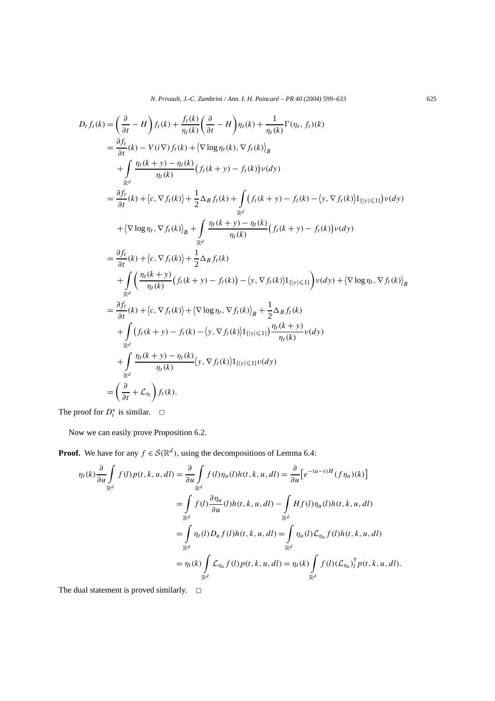*N. Privault, J.-C. Zambrini / Ann. I. H. Poincaré – PR 40 (2004) 599–633* 625

$$
D_{t}f_{t}(k) = \left(\frac{\partial}{\partial t} - H\right)f_{t}(k) + \frac{f_{t}(k)}{\eta_{t}(k)}\left(\frac{\partial}{\partial t} - H\right)\eta_{t}(k) + \frac{1}{\eta_{t}(k)}\Gamma(\eta_{t}, f_{t})(k)
$$
  
\n
$$
= \frac{\partial f_{t}}{\partial t}(k) - V(i\nabla)f_{t}(k) + \langle \nabla \log \eta_{t}(k), \nabla f_{t}(k) \rangle_{B}
$$
  
\n
$$
+ \int_{\mathbb{R}^{d}} \frac{\eta_{t}(k+y) - \eta_{t}(k)}{\eta_{t}(k)} \left(f_{t}(k+y) - f_{t}(k)\right) \nu(dy)
$$
  
\n
$$
= \frac{\partial f_{t}}{\partial t}(k) + \langle c, \nabla f_{t}(k) \rangle + \frac{1}{2}\Delta_{B}f_{t}(k) + \int_{\mathbb{R}^{d}} (f_{t}(k+y) - f_{t}(k) - \langle y, \nabla f_{t}(k) \rangle \mathbf{1}_{\{|y| \leq 1\}}) \nu(dy)
$$
  
\n
$$
+ \langle \nabla \log \eta_{t}, \nabla f_{t}(k) \rangle_{B} + \int_{\mathbb{R}^{d}} \frac{\eta_{t}(k+y) - \eta_{t}(k)}{\eta_{t}(k)} \left(f_{t}(k+y) - f_{t}(k)\right) \nu(dy)
$$
  
\n
$$
= \frac{\partial f_{t}}{\partial t}(k) + \langle c, \nabla f_{t}(k) \rangle + \frac{1}{2}\Delta_{B}f_{t}(k)
$$
  
\n
$$
+ \int_{\mathbb{R}^{d}} \left(\frac{\eta_{t}(k+y)}{\eta_{t}(k)} \left(f_{t}(k+y) - f_{t}(k)\right) - \langle y, \nabla f_{t}(k) \rangle \mathbf{1}_{\{|y| \leq 1\}} \right) \nu(dy) + \langle \nabla \log \eta_{t}, \nabla f_{t}(k) \rangle_{B}
$$
  
\n
$$
= \frac{\partial f_{t}}{\partial t}(k) + \langle c, \nabla f_{t}(k) \rangle + \langle \nabla \log \eta_{t}, \nabla f_{t}(k) \rangle_{B} + \frac{1}{2}\Delta_{B}f_{t}(k)
$$
  
\n
$$
+
$$

The proof for  $D_t^*$  is similar.  $\Box$ 

Now we can easily prove Proposition 6.2.

**Proof.** We have for any  $f \in \mathcal{S}(\mathbb{R}^d)$ , using the decompositions of Lemma 6.4:

$$
\eta_t(k) \frac{\partial}{\partial u} \int_{\mathbb{R}^d} f(l) p(t, k, u, dl) = \frac{\partial}{\partial u} \int_{\mathbb{R}^d} f(l) \eta_u(l) h(t, k, u, dl) = \frac{\partial}{\partial u} \Big[ e^{-(u-t)H} (f \eta_u)(k) \Big]
$$
  
\n
$$
= \int_{\mathbb{R}^d} f(l) \frac{\partial \eta_u}{\partial u}(l) h(t, k, u, dl) - \int_{\mathbb{R}^d} H f(l) \eta_u(l) h(t, k, u, dl)
$$
  
\n
$$
= \int_{\mathbb{R}^d} \eta_t(l) D_u f(l) h(t, k, u, dl) = \int_{\mathbb{R}^d} \eta_u(l) \mathcal{L}_{\eta_u} f(l) h(t, k, u, dl)
$$
  
\n
$$
= \eta_t(k) \int_{\mathbb{R}^d} \mathcal{L}_{\eta_u} f(l) p(t, k, u, dl) = \eta_t(k) \int_{\mathbb{R}^d} f(l) (\mathcal{L}_{\eta_u})_I^{\dagger} p(t, k, u, dl).
$$

The dual statement is proved similarly.  $\Box$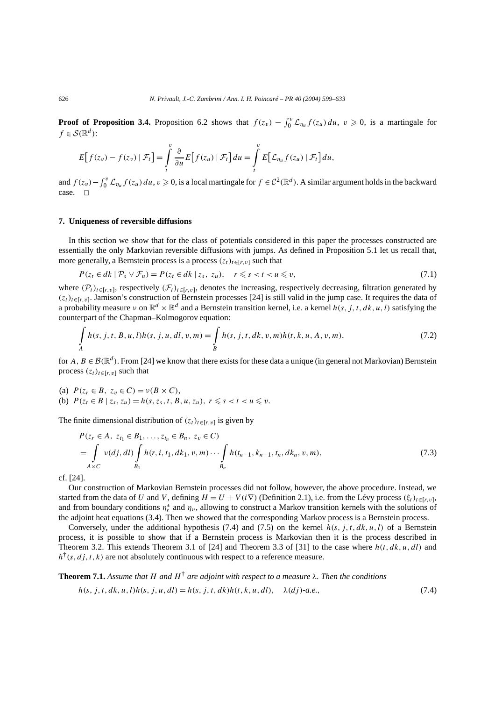**Proof of Proposition 3.4.** Proposition 6.2 shows that  $f(z_v) - \int_0^v \mathcal{L}_{\eta_u} f(z_u) du$ ,  $v \ge 0$ , is a martingale for  $f \in \mathcal{S}(\mathbb{R}^d)$ :

$$
E[f(z_v) - f(z_v) | \mathcal{F}_t] = \int\limits_t^v \frac{\partial}{\partial u} E[f(z_u) | \mathcal{F}_t] du = \int\limits_t^v E[\mathcal{L}_{\eta_u} f(z_u) | \mathcal{F}_t] du,
$$

and  $f(z_v) - \int_0^v \mathcal{L}_{\eta_u} f(z_u) du$ ,  $v \ge 0$ , is a local martingale for  $f \in C^2(\mathbb{R}^d)$ . A similar argument holds in the backward case.  $\square$ 

#### **7. Uniqueness of reversible diffusions**

In this section we show that for the class of potentials considered in this paper the processes constructed are essentially the only Markovian reversible diffusions with jumps. As defined in Proposition 5.1 let us recall that, more generally, a Bernstein process is a process  $(z_t)_{t \in [r, v]}$  such that

$$
P(z_t \in dk \mid \mathcal{P}_s \vee \mathcal{F}_u) = P(z_t \in dk \mid z_s, z_u), \quad r \leq s < t < u \leq v,\tag{7.1}
$$

where  $(\mathcal{P}_t)_{t \in [r, v]}$ , respectively  $(\mathcal{F}_t)_{t \in [r, v]}$ , denotes the increasing, respectively decreasing, filtration generated by  $(z_t)_{t \in [r, v]}$ . Jamison's construction of Bernstein processes [24] is still valid in the jump case. It requires the data of a probability measure *ν* on  $\mathbb{R}^d \times \mathbb{R}^d$  and a Bernstein transition kernel, i.e. a kernel  $h(s, j, t, dk, u, l)$  satisfying the counterpart of the Chapman–Kolmogorov equation:

$$
\int_{A} h(s, j, t, B, u, l)h(s, j, u, dl, v, m) = \int_{B} h(s, j, t, dk, v, m)h(t, k, u, A, v, m),
$$
\n(7.2)

for *A*,  $B \in \mathcal{B}(\mathbb{R}^d)$ . From [24] we know that there exists for these data a unique (in general not Markovian) Bernstein process  $(z_t)_{t \in [r,v]}$  such that

(a)  $P(z_r \in B, z_v \in C) = v(B \times C),$ (b)  $P(z_t \in B | z_s, z_u) = h(s, z_s, t, B, u, z_u), r \le s < t < u \le v.$ 

The finite dimensional distribution of  $(z_t)_{t \in [r, v]}$  is given by

$$
P(z_r \in A, z_{t_1} \in B_1, ..., z_{t_n} \in B_n, z_v \in C)
$$
  
=  $\int_{A \times C} v(dj, dl) \int_{B_1} h(r, i, t_1, dk_1, v, m) \cdots \int_{B_n} h(t_{n-1}, k_{n-1}, t_n, dk_n, v, m),$  (7.3)

cf. [24].

Our construction of Markovian Bernstein processes did not follow, however, the above procedure. Instead, we started from the data of *U* and *V*, defining  $H = U + V(i\nabla)$  (Definition 2.1), i.e. from the Lévy process  $(\xi_t)_{t \in [r, v]},$ and from boundary conditions  $\eta_r^*$  and  $\eta_v$ , allowing to construct a Markov transition kernels with the solutions of the adjoint heat equations (3.4). Then we showed that the corresponding Markov process is a Bernstein process.

Conversely, under the additional hypothesis (7.4) and (7.5) on the kernel  $h(s, j, t, dk, u, l)$  of a Bernstein process, it is possible to show that if a Bernstein process is Markovian then it is the process described in Theorem 3.2. This extends Theorem 3.1 of [24] and Theorem 3.3 of [31] to the case where  $h(t, dk, u, dl)$  and  $h^{\dagger}(s, dj, t, k)$  are not absolutely continuous with respect to a reference measure.

**Theorem 7.1.** Assume that H and  $H^{\dagger}$  are adjoint with respect to a measure  $\lambda$ . Then the conditions

$$
h(s, j, t, dk, u, l)h(s, j, u, dl) = h(s, j, t, dk)h(t, k, u, dl), \quad \lambda(dj)\text{-}a.e.,\tag{7.4}
$$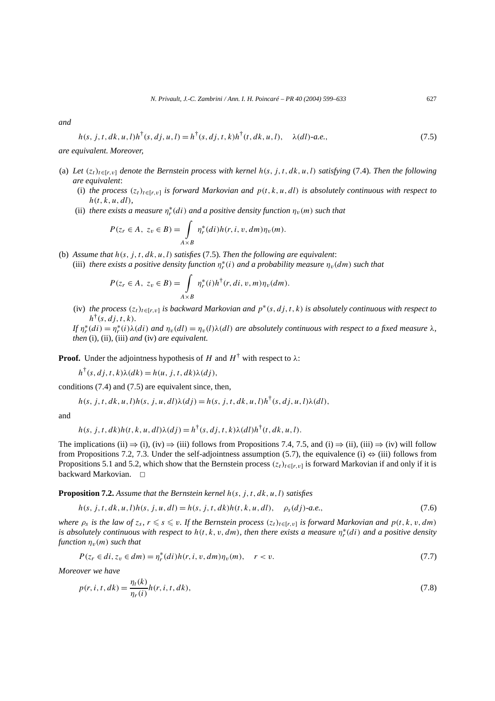*and*

$$
h(s, j, t, dk, u, l)h^{\dagger}(s, dj, u, l) = h^{\dagger}(s, dj, t, k)h^{\dagger}(t, dk, u, l), \quad \lambda(dl)\text{-}a.e.,\tag{7.5}
$$

### *are equivalent. Moreover,*

- (a) Let  $(z_t)_{t \in [r, v]}$  denote the Bernstein process with kernel  $h(s, j, t, dk, u, l)$  satisfying (7.4). Then the following *are equivalent*:
	- (i) *the process*  $(z_t)_{t \in [r, v]}$  *is forward Markovian and*  $p(t, k, u, dl)$  *is absolutely continuous with respect to h(t , k, u, dl),*
	- (ii) *there exists a measure*  $\eta_r^*(di)$  *and a positive density function*  $\eta_v(m)$  *such that*

$$
P(z_r \in A, z_v \in B) = \int_{A \times B} \eta_r^*(di) h(r, i, v, dm) \eta_v(m).
$$

(b) *Assume that h(s, j,t , dk, u,l) satisfies* (7.5)*. Then the following are equivalent*: (iii) *there exists a positive density function*  $\eta_r^*(i)$  *and a probability measure*  $\eta_v(dm)$  *such that* 

$$
P(z_r \in A, z_v \in B) = \int_{A \times B} \eta_r^*(i) h^{\dagger}(r, di, v, m) \eta_v(dm).
$$

(iv) *the process*  $(z_t)_{t\in[r,v]}$  *is backward Markovian and*  $p^*(s, dj, t, k)$  *is absolutely continuous with respect to*  $h^{\dagger}(s, dj, t, k)$ *.* 

*If*  $\eta_r^*(di) = \eta_r^*(i) \lambda(di)$  *and*  $\eta_v(dl) = \eta_v(l) \lambda(dl)$  *are absolutely continuous with respect to a fixed measure*  $\lambda$ *, then* (i)*,* (ii)*,* (iii) *and* (iv) *are equivalent.*

**Proof.** Under the adjointness hypothesis of *H* and  $H^{\dagger}$  with respect to  $\lambda$ :

 $h^{\dagger}(s, dj, t, k) \lambda(dk) = h(u, j, t, dk) \lambda(dj),$ 

conditions (7.4) and (7.5) are equivalent since, then,

$$
h(s, j, t, dk, u, l)h(s, j, u, dl)\lambda(dj) = h(s, j, t, dk, u, l)h^{\dagger}(s, dj, u, l)\lambda(dl),
$$

and

$$
h(s, j, t, dk)h(t, k, u, dl)\lambda(dj) = h^{\dagger}(s, dj, t, k)\lambda(dl)h^{\dagger}(t, dk, u, l).
$$

The implications (ii)  $\Rightarrow$  (i), (iv)  $\Rightarrow$  (iii) follows from Propositions 7.4, 7.5, and (i)  $\Rightarrow$  (ii), (iii)  $\Rightarrow$  (iv) will follow from Propositions 7.2, 7.3. Under the self-adjointness assumption (5.7), the equivalence (i)  $\Leftrightarrow$  (iii) follows from Propositions 5.1 and 5.2, which show that the Bernstein process  $(z_t)_{t \in [r, v]}$  is forward Markovian if and only if it is backward Markovian.  $\square$ 

**Proposition 7.2.** *Assume that the Bernstein kernel h(s, j,t , dk, u,l) satisfies*

$$
h(s, j, t, dk, u, l)h(s, j, u, dl) = h(s, j, t, dk)h(t, k, u, dl), \quad \rho_s(dj)\text{-}a.e.,\tag{7.6}
$$

*where*  $\rho_s$  *is the law of*  $z_s$ ,  $r \le s \le v$ . If the Bernstein process  $(z_t)_{t \in [r, v]}$  *is forward Markovian and*  $p(t, k, v, dm)$ *is absolutely continuous with respect to h(t , k, v, dm), then there exists a measure η*<sup>∗</sup> *<sup>r</sup> (d i) and a positive density function*  $\eta_v(m)$  *such that* 

$$
P(z_r \in di, z_v \in dm) = \eta_r^*(di)h(r, i, v, dm)\eta_v(m), \quad r < v. \tag{7.7}
$$

*Moreover we have*

$$
p(r, i, t, dk) = \frac{\eta_t(k)}{\eta_r(i)} h(r, i, t, dk),
$$
\n(7.8)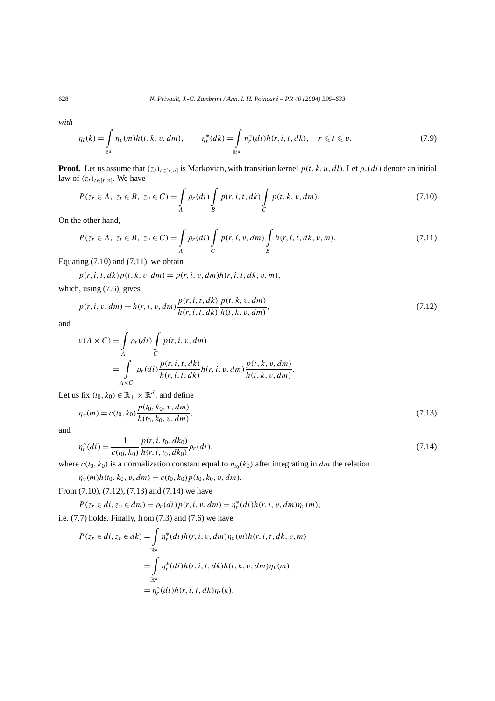*with*

$$
\eta_t(k) = \int_{\mathbb{R}^d} \eta_v(m)h(t, k, v, dm), \qquad \eta_t^*(dk) = \int_{\mathbb{R}^d} \eta_r^*(di)h(r, i, t, dk), \quad r \leq t \leq v. \tag{7.9}
$$

**Proof.** Let us assume that  $(z_t)_{t\in[r,v]}$  is Markovian, with transition kernel  $p(t, k, u, dl)$ . Let  $\rho_r(d_i)$  denote an initial law of  $(z_t)_{t \in [r, v]}$ . We have

$$
P(z_r \in A, z_t \in B, z_v \in C) = \int_A \rho_r(di) \int_B p(r, i, t, dk) \int_C p(t, k, v, dm).
$$
 (7.10)

On the other hand,

$$
P(z_r \in A, z_t \in B, z_v \in C) = \int_A \rho_r(dt) \int_C p(r, i, v, dm) \int_B h(r, i, t, dk, v, m).
$$
 (7.11)

Equating  $(7.10)$  and  $(7.11)$ , we obtain

 $p(r, i, t, dk)p(t, k, v, dm) = p(r, i, v, dm)h(r, i, t, dk, v, m),$ which, using (7.6), gives

$$
p(r, i, v, dm) = h(r, i, v, dm) \frac{p(r, i, t, dk)}{h(r, i, t, dk)} \frac{p(t, k, v, dm)}{h(t, k, v, dm)},
$$
\n(7.12)

and

$$
\nu(A \times C) = \int_A \rho_r(di) \int_C p(r, i, v, dm)
$$
  
= 
$$
\int_{A \times C} \rho_r(di) \frac{p(r, i, t, dk)}{h(r, i, t, dk)} h(r, i, v, dm) \frac{p(t, k, v, dm)}{h(t, k, v, dm)}.
$$

Let us fix  $(t_0, k_0) \in \mathbb{R}_+ \times \mathbb{R}^d$ , and define

$$
\eta_v(m) = c(t_0, k_0) \frac{p(t_0, k_0, v, dm)}{h(t_0, k_0, v, dm)},
$$
\n(7.13)

and

$$
\eta_r^*(di) = \frac{1}{c(t_0, k_0)} \frac{p(r, i, t_0, dk_0)}{h(r, i, t_0, dk_0)} \rho_r(di),\tag{7.14}
$$

where  $c(t_0, k_0)$  is a normalization constant equal to  $\eta_{t_0}(k_0)$  after integrating in *dm* the relation

 $\eta_v(m)h(t_0, k_0, v, dm) = c(t_0, k_0)p(t_0, k_0, v, dm).$ 

From (7.10), (7.12), (7.13) and (7.14) we have

 $P(z_r \in di, z_v \in dm) = \rho_r(di) p(r, i, v, dm) = \eta^*_r(di) h(r, i, v, dm) \eta_v(m),$ i.e. (7.7) holds. Finally, from (7.3) and (7.6) we have

$$
P(z_r \in di, z_t \in dk) = \int_{\mathbb{R}^d} \eta_r^*(di)h(r, i, v, dm)\eta_v(m)h(r, i, t, dk, v, m)
$$
  
= 
$$
\int_{\mathbb{R}^d} \eta_r^*(di)h(r, i, t, dk)h(t, k, v, dm)\eta_v(m)
$$
  
= 
$$
\eta_r^*(di)h(r, i, t, dk)\eta_t(k),
$$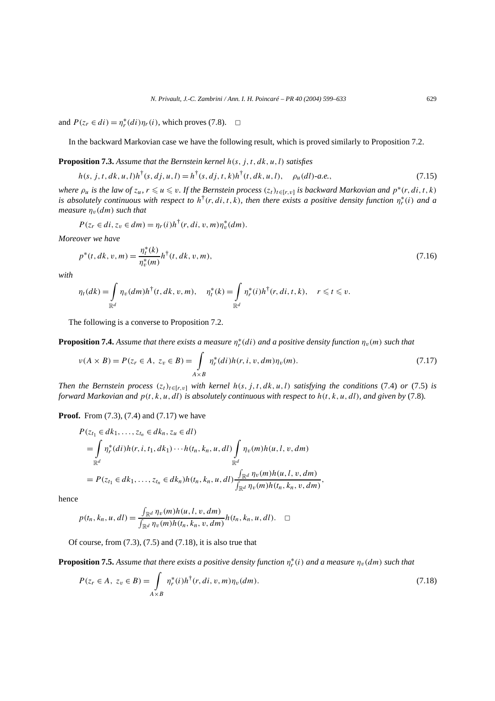and  $P(z_r \in di) = \eta_r^*(di)\eta_r(i)$ , which proves (7.8).  $\Box$ 

In the backward Markovian case we have the following result, which is proved similarly to Proposition 7.2.

**Proposition 7.3.** *Assume that the Bernstein kernel h(s, j,t , dk, u,l) satisfies*

 $h(s, j, t, dk, u, l)h^{\dagger}(s, dj, u, l) = h^{\dagger}(s, dj, t, k)h^{\dagger}(t, dk, u, l), \quad \rho_u(dl)$ *-a.e.*, (7.15)

*where*  $\rho_u$  *is the law of*  $z_u$ ,  $r \leq u \leq v$ . If the Bernstein process  $(z_t)_{t \in [r, v]}$  *is backward Markovian and*  $p^*(r, di, t, k)$ *is absolutely continuous with respect to*  $h^{\dagger}(r, di, t, k)$ *, then there exists a positive density function*  $\eta_r^*(i)$  *and a measure*  $\eta_v(dm)$  *such that* 

$$
P(z_r \in di, z_v \in dm) = \eta_r(i)h^{\dagger}(r, di, v, m)\eta_v^*(dm).
$$

*Moreover we have*

$$
p^*(t, dk, v, m) = \frac{\eta_t^*(k)}{\eta_v^*(m)} h^{\dagger}(t, dk, v, m),
$$
\n(7.16)

*with*

$$
\eta_t(dk) = \int_{\mathbb{R}^d} \eta_v(dm)h^{\dagger}(t, dk, v, m), \quad \eta_t^*(k) = \int_{\mathbb{R}^d} \eta_r^*(i)h^{\dagger}(r, di, t, k), \quad r \leq t \leq v.
$$

The following is a converse to Proposition 7.2.

**Proposition 7.4.** *Assume that there exists a measure η*<sup>∗</sup> *<sup>r</sup> (d i) and a positive density function ηv(m) such that*

$$
\nu(A \times B) = P(z_r \in A, \ z_v \in B) = \int_{A \times B} \eta_r^*(di) h(r, i, v, dm) \eta_v(m).
$$
 (7.17)

*Then the Bernstein process*  $(z_t)_{t \in [r,v]}$  *with kernel*  $h(s, j, t, dk, u, l)$  *satisfying the conditions* (7.4) *or* (7.5) *is forward Markovian and p(t , k, u, dl) is absolutely continuous with respect to h(t , k, u, dl), and given by* (7.8)*.*

**Proof.** From (7.3), (7.4) and (7.17) we have

$$
P(z_{t_1} \in dk_1, ..., z_{t_n} \in dk_n, z_u \in dl)
$$
  
=  $\int_{\mathbb{R}^d} \eta_r^*(di)h(r, i, t_1, dk_1) \cdots h(t_n, k_n, u, dl) \int_{\mathbb{R}^d} \eta_v(m)h(u, l, v, dm)$   
=  $P(z_{t_1} \in dk_1, ..., z_{t_n} \in dk_n)h(t_n, k_n, u, dl) \frac{\int_{\mathbb{R}^d} \eta_v(m)h(u, l, v, dm)}{\int_{\mathbb{R}^d} \eta_v(m)h(t_n, k_n, v, dm)},$ 

hence

$$
p(t_n, k_n, u, dl) = \frac{\int_{\mathbb{R}^d} \eta_v(m)h(u, l, v, dm)}{\int_{\mathbb{R}^d} \eta_v(m)h(t_n, k_n, v, dm)} h(t_n, k_n, u, dl). \quad \Box
$$

Of course, from  $(7.3)$ ,  $(7.5)$  and  $(7.18)$ , it is also true that

**Proposition 7.5.** Assume that there exists a positive density function  $\eta_r^*(i)$  and a measure  $\eta_v(dm)$  such that

$$
P(z_r \in A, \ z_v \in B) = \int_{A \times B} \eta_r^*(i) h^{\dagger}(r, di, v, m) \eta_v(dm).
$$
 (7.18)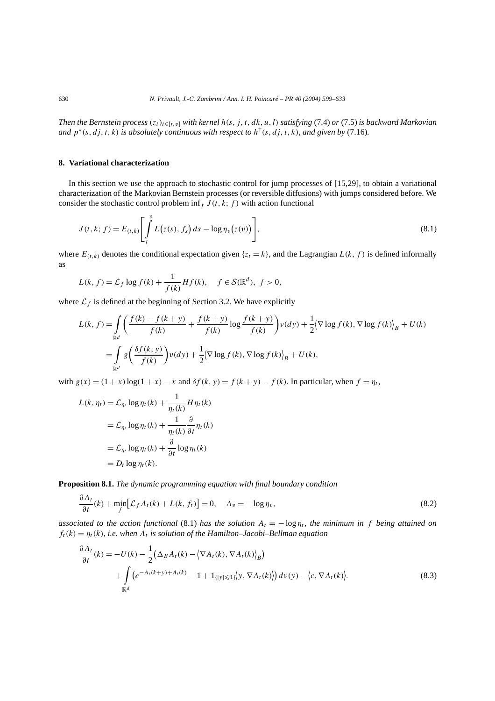*Then the Bernstein process*  $(z_t)_{t \in [r,v]}$  *with kernel h(s, j, t, dk, u, l) satisfying* (7.4) *or* (7.5) *is backward Markovian and*  $p^*(s, dj, t, k)$  *is absolutely continuous with respect to*  $h^{\dagger}(s, dj, t, k)$ *, and given by* (7.16)*.* 

# **8. Variational characterization**

In this section we use the approach to stochastic control for jump processes of [15,29], to obtain a variational characterization of the Markovian Bernstein processes (or reversible diffusions) with jumps considered before. We consider the stochastic control problem inf<sub>f</sub>  $J(t, k; f)$  with action functional

$$
J(t, k; f) = E_{(t, k)} \left[ \int_{t}^{v} L(z(s), f_s) ds - \log \eta_{v}(z(v)) \right],
$$
\n(8.1)

where  $E_{(t,k)}$  denotes the conditional expectation given  $\{z_t = k\}$ , and the Lagrangian  $L(k, f)$  is defined informally as

$$
L(k, f) = \mathcal{L}_f \log f(k) + \frac{1}{f(k)} Hf(k), \quad f \in \mathcal{S}(\mathbb{R}^d), \ f > 0,
$$

where  $\mathcal{L}_f$  is defined at the beginning of Section 3.2. We have explicitly

$$
L(k, f) = \int_{\mathbb{R}^d} \left( \frac{f(k) - f(k + y)}{f(k)} + \frac{f(k + y)}{f(k)} \log \frac{f(k + y)}{f(k)} \right) \nu(dy) + \frac{1}{2} \langle \nabla \log f(k), \nabla \log f(k) \rangle_B + U(k)
$$

$$
= \int_{\mathbb{R}^d} g\left( \frac{\delta f(k, y)}{f(k)} \right) \nu(dy) + \frac{1}{2} \langle \nabla \log f(k), \nabla \log f(k) \rangle_B + U(k),
$$

with  $g(x) = (1 + x) \log(1 + x) - x$  and  $\delta f(k, y) = f(k + y) - f(k)$ . In particular, when  $f = \eta_t$ ,

$$
L(k, \eta_t) = \mathcal{L}_{\eta_t} \log \eta_t(k) + \frac{1}{\eta_t(k)} H \eta_t(k)
$$
  
=  $\mathcal{L}_{\eta_t} \log \eta_t(k) + \frac{1}{\eta_t(k)} \frac{\partial}{\partial t} \eta_t(k)$   
=  $\mathcal{L}_{\eta_t} \log \eta_t(k) + \frac{\partial}{\partial t} \log \eta_t(k)$   
=  $D_t \log \eta_t(k)$ .

**Proposition 8.1.** *The dynamic programming equation with final boundary condition*

$$
\frac{\partial A_t}{\partial t}(k) + \min_f \Big[ \mathcal{L}_f A_t(k) + L(k, f_t) \Big] = 0, \quad A_v = -\log \eta_v,
$$
\n(8.2)

*associated to the action functional* (8.1) *has the solution*  $A_t = -\log \eta_t$ , *the minimum in f being attained on*  $f_t(k) = \eta_t(k)$ *, i.e. when*  $A_t$  *is solution of the Hamilton–Jacobi–Bellman equation* 

$$
\frac{\partial A_t}{\partial t}(k) = -U(k) - \frac{1}{2} \left( \Delta_B A_t(k) - \left\langle \nabla A_t(k), \nabla A_t(k) \right\rangle_B \right) \n+ \int_{\mathbb{R}^d} \left( e^{-A_t(k+y) + A_t(k)} - 1 + 1_{\{|y| \le 1\}} \left| y, \nabla A_t(k) \right| \right) dv(y) - \left\langle c, \nabla A_t(k) \right\rangle.
$$
\n(8.3)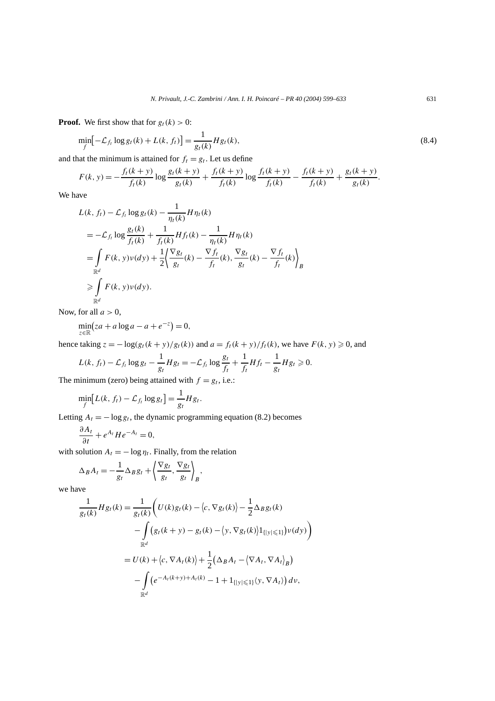**Proof.** We first show that for  $g_t(k) > 0$ :

$$
\min_{f} [-\mathcal{L}_{f_t} \log g_t(k) + L(k, f_t)] = \frac{1}{g_t(k)} H g_t(k),\tag{8.4}
$$

and that the minimum is attained for  $f_t = g_t$ . Let us define

$$
F(k, y) = -\frac{f_t(k + y)}{f_t(k)} \log \frac{g_t(k + y)}{g_t(k)} + \frac{f_t(k + y)}{f_t(k)} \log \frac{f_t(k + y)}{f_t(k)} - \frac{f_t(k + y)}{f_t(k)} + \frac{g_t(k + y)}{g_t(k)}.
$$

We have

$$
L(k, f_t) - \mathcal{L}_{f_t} \log g_t(k) - \frac{1}{\eta_t(k)} H \eta_t(k)
$$
  
=  $-\mathcal{L}_{f_t} \log \frac{g_t(k)}{f_t(k)} + \frac{1}{f_t(k)} H f_t(k) - \frac{1}{\eta_t(k)} H \eta_t(k)$   
=  $\int_{\mathbb{R}^d} F(k, y) \nu(dy) + \frac{1}{2} \left\langle \frac{\nabla g_t}{g_t}(k) - \frac{\nabla f_t}{f_t}(k), \frac{\nabla g_t}{g_t}(k) - \frac{\nabla f_t}{f_t}(k) \right\rangle_B$   
 $\geq \int_{\mathbb{R}^d} F(k, y) \nu(dy).$ 

Now, for all  $a > 0$ ,

 $\min_{z \in \mathbb{R}} (za + a \log a - a + e^{-z}) = 0,$ 

hence taking  $z = -\log(g_t(k + y)/g_t(k))$  and  $a = f_t(k + y)/f_t(k)$ , we have  $F(k, y) \ge 0$ , and

$$
L(k, f_t) - \mathcal{L}_{f_t} \log g_t - \frac{1}{g_t} H g_t = -\mathcal{L}_{f_t} \log \frac{g_t}{f_t} + \frac{1}{f_t} H f_t - \frac{1}{g_t} H g_t \geq 0.
$$

The minimum (zero) being attained with  $f = g_t$ , i.e.:

$$
\min_{f} [L(k, f_t) - \mathcal{L}_{f_t} \log g_t] = \frac{1}{g_t} H g_t.
$$

Letting  $A_t = -\log g_t$ , the dynamic programming equation (8.2) becomes

$$
\frac{\partial A_t}{\partial t} + e^{A_t} H e^{-A_t} = 0,
$$

with solution  $A_t = -\log \eta_t$ . Finally, from the relation

$$
\Delta_B A_t = -\frac{1}{g_t} \Delta_B g_t + \left\langle \frac{\nabla g_t}{g_t}, \frac{\nabla g_t}{g_t} \right\rangle_B,
$$

we have

$$
\frac{1}{g_t(k)} H g_t(k) = \frac{1}{g_t(k)} \bigg( U(k) g_t(k) - \langle c, \nabla g_t(k) \rangle - \frac{1}{2} \Delta_B g_t(k)
$$

$$
- \int_{\mathbb{R}^d} (g_t(k + y) - g_t(k) - \langle y, \nabla g_t(k) \rangle \mathbf{1}_{\{|y| \le 1\}}) v(dy) \bigg)
$$

$$
= U(k) + \langle c, \nabla A_t(k) \rangle + \frac{1}{2} (\Delta_B A_t - \langle \nabla A_t, \nabla A_t \rangle_B)
$$

$$
- \int_{\mathbb{R}^d} (e^{-A_t(k+y) + A_t(k)} - 1 + 1_{\{|y| \le 1\}} \langle y, \nabla A_t \rangle) dv,
$$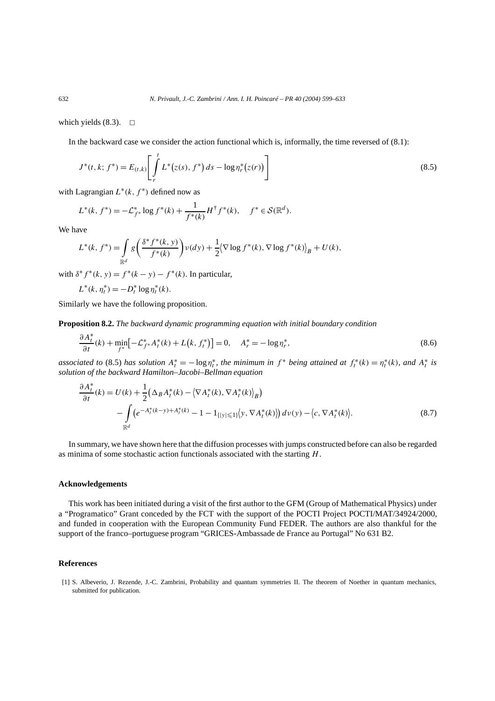which yields  $(8.3)$ .  $\Box$ 

In the backward case we consider the action functional which is, informally, the time reversed of (8.1):

$$
J^*(t, k; f^*) = E_{(t, k)} \left[ \int\limits_r^t L^*(z(s), f^*) ds - \log \eta_r^*(z(r)) \right]
$$
\n(8.5)

with Lagrangian  $L^*(k, f^*)$  defined now as

$$
L^*(k, f^*) = -\mathcal{L}_{f^*}^* \log f^*(k) + \frac{1}{f^*(k)} H^{\dagger} f^*(k), \quad f^* \in \mathcal{S}(\mathbb{R}^d).
$$

We have

$$
L^*(k, f^*) = \int_{\mathbb{R}^d} g\left(\frac{\delta^* f^*(k, y)}{f^*(k)}\right) \nu(dy) + \frac{1}{2} \langle \nabla \log f^*(k), \nabla \log f^*(k) \rangle_B + U(k),
$$

with  $\delta^* f^*(k, y) = f^*(k - y) - f^*(k)$ . In particular,

$$
L^*(k, \eta_t^*) = -D_t^* \log \eta_t^*(k).
$$

Similarly we have the following proposition.

**Proposition 8.2.** *The backward dynamic programming equation with initial boundary condition*

$$
\frac{\partial A_t^*}{\partial t}(k) + \min_{f^*} \left[ -\mathcal{L}_{f^*}^* A_t^*(k) + L(k, f_t^*) \right] = 0, \quad A_r^* = -\log \eta_r^*,\tag{8.6}
$$

associated to (8.5) has solution  $A_t^* = -\log \eta_t^*$ , the minimum in  $f^*$  being attained at  $f_t^*(k) = \eta_t^*(k)$ , and  $A_t^*$  is *solution of the backward Hamilton–Jacobi–Bellman equation*

$$
\frac{\partial A_t^*}{\partial t}(k) = U(k) + \frac{1}{2} \Big( \Delta_B A_t^*(k) - \Big\langle \nabla A_t^*(k), \nabla A_t^*(k) \Big\rangle_B \Big) \n- \int_{\mathbb{R}^d} \Big( e^{-A_t^*(k-y) + A_t^*(k)} - 1 - 1_{\{|y| \le 1\}} \Big\langle y, \nabla A_t^*(k) \Big\rangle \Big) \, dv(y) - \Big\langle c, \nabla A_t^*(k) \Big\rangle.
$$
\n(8.7)

In summary, we have shown here that the diffusion processes with jumps constructed before can also be regarded as minima of some stochastic action functionals associated with the starting *H*.

### **Acknowledgements**

This work has been initiated during a visit of the first author to the GFM (Group of Mathematical Physics) under a "Programatico" Grant conceded by the FCT with the support of the POCTI Project POCTI/MAT/34924/2000, and funded in cooperation with the European Community Fund FEDER. The authors are also thankful for the support of the franco–portuguese program "GRICES-Ambassade de France au Portugal" No 631 B2.

## **References**

[1] S. Albeverio, J. Rezende, J.-C. Zambrini, Probability and quantum symmetries II. The theorem of Noether in quantum mechanics, submitted for publication.